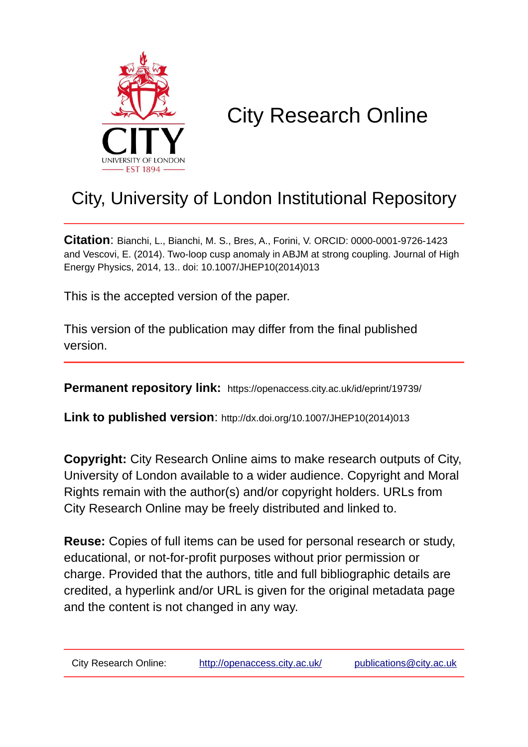

# City Research Online

# City, University of London Institutional Repository

**Citation**: Bianchi, L., Bianchi, M. S., Bres, A., Forini, V. ORCID: 0000-0001-9726-1423 and Vescovi, E. (2014). Two-loop cusp anomaly in ABJM at strong coupling. Journal of High Energy Physics, 2014, 13.. doi: 10.1007/JHEP10(2014)013

This is the accepted version of the paper.

This version of the publication may differ from the final published version.

**Permanent repository link:** https://openaccess.city.ac.uk/id/eprint/19739/

**Link to published version**: http://dx.doi.org/10.1007/JHEP10(2014)013

**Copyright:** City Research Online aims to make research outputs of City, University of London available to a wider audience. Copyright and Moral Rights remain with the author(s) and/or copyright holders. URLs from City Research Online may be freely distributed and linked to.

**Reuse:** Copies of full items can be used for personal research or study, educational, or not-for-profit purposes without prior permission or charge. Provided that the authors, title and full bibliographic details are credited, a hyperlink and/or URL is given for the original metadata page and the content is not changed in any way.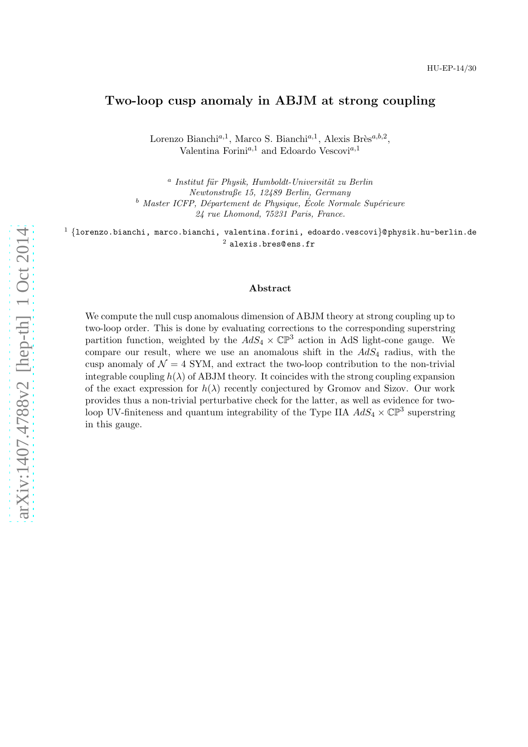### Two-loop cusp anomaly in ABJM at strong coupling

Lorenzo Bianchi<sup>a,1</sup>, Marco S. Bianchi<sup>a,1</sup>, Alexis Brès<sup>a,b,2</sup>, Valentina Forini<sup>a,1</sup> and Edoardo Vescovi<sup>a,1</sup>

<sup>a</sup> Institut für Physik, Humboldt-Universität zu Berlin *Newtonstraße 15, 12489 Berlin, Germany* <sup>b</sup> Master ICFP, Département de Physique, École Normale Supérieure *24 rue Lhomond, 75231 Paris, France.*

 $1$  {lorenzo.bianchi, marco.bianchi, valentina.forini, edoardo.vescovi}@ physik.hu-berlin.de  $^2$  alexis.bres@ens.fr

#### Abstract

We compute the null cusp anomalous dimension of ABJM theory at strong coupling up to two-loop order. This is done by evaluating corrections to the corresponding superstring partition function, weighted by the  $AdS_4 \times \mathbb{CP}^3$  action in AdS light-cone gauge. We compare our result, where we use an anomalous shift in the  $AdS_4$  radius, with the cusp anomaly of  $\mathcal{N} = 4$  SYM, and extract the two-loop contribution to the non-trivial integrable coupling  $h(\lambda)$  of ABJM theory. It coincides with the strong coupling expansion of the exact expression for  $h(\lambda)$  recently conjectured by Gromov and Sizov. Our work provides thus a non-trivial perturbative check for the latter, as well as evidence for twoloop UV-finiteness and quantum integrability of the Type IIA  $AdS_4 \times \mathbb{CP}^3$  superstring in this gauge.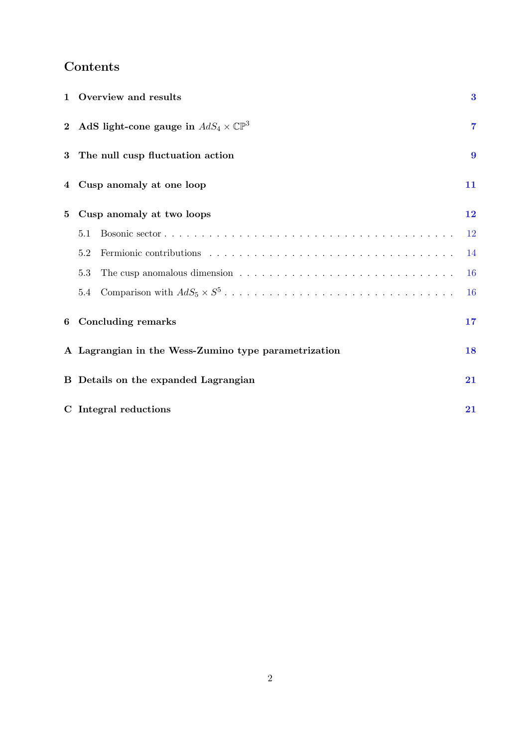# Contents

| $\mathbf{1}$ |                                                      | Overview and results                                   | $\bf{3}$         |
|--------------|------------------------------------------------------|--------------------------------------------------------|------------------|
|              |                                                      | 2 AdS light-cone gauge in $AdS_4 \times \mathbb{CP}^3$ | $\overline{7}$   |
| 3            | The null cusp fluctuation action                     |                                                        | $\boldsymbol{9}$ |
| $\bf 4$      |                                                      | Cusp anomaly at one loop                               | 11               |
| 5            | Cusp anomaly at two loops                            |                                                        | 12               |
|              | 5.1                                                  |                                                        | 12               |
|              | 5.2                                                  |                                                        | 14               |
|              | 5.3                                                  |                                                        | 16               |
|              | 5.4                                                  |                                                        | <b>16</b>        |
| 6            | <b>Concluding remarks</b>                            |                                                        | 17               |
|              | A Lagrangian in the Wess-Zumino type parametrization |                                                        | 18               |
|              | <b>B</b> Details on the expanded Lagrangian          |                                                        | 21               |
|              | C Integral reductions                                |                                                        |                  |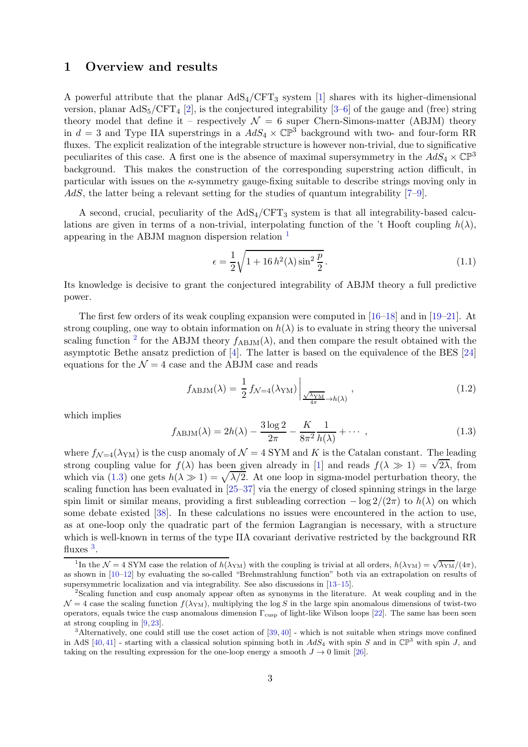## <span id="page-3-0"></span>1 Overview and results

A powerful attribute that the planar  $AdS_4/CFT_3$  system [\[1\]](#page-22-0) shares with its higher-dimensional version, planar  $AdS_5/CFT_4$  [\[2\]](#page-22-1), is the conjectured integrability [\[3](#page-22-2)[–6\]](#page-23-0) of the gauge and (free) string theory model that define it – respectively  $\mathcal{N} = 6$  super Chern-Simons-matter (ABJM) theory in  $d = 3$  and Type IIA superstrings in a  $AdS_4 \times \mathbb{CP}^3$  background with two- and four-form RR fluxes. The explicit realization of the integrable structure is however non-trivial, due to significative peculiarites of this case. A first one is the absence of maximal supersymmetry in the  $AdS_4 \times \mathbb{CP}^3$ background. This makes the construction of the corresponding superstring action difficult, in particular with issues on the κ-symmetry gauge-fixing suitable to describe strings moving only in AdS, the latter being a relevant setting for the studies of quantum integrability  $[7-9]$ .

A second, crucial, peculiarity of the  $AdS_4/CFT_3$  system is that all integrability-based calculations are given in terms of a non-trivial, interpolating function of the 't Hooft coupling  $h(\lambda)$ , appearing in the ABJM magnon dispersion relation [1](#page-3-1)

$$
\epsilon = \frac{1}{2} \sqrt{1 + 16 h^2(\lambda) \sin^2 \frac{p}{2}}.
$$
\n(1.1)

Its knowledge is decisive to grant the conjectured integrability of ABJM theory a full predictive power.

The first few orders of its weak coupling expansion were computed in [\[16–](#page-23-3)[18\]](#page-23-4) and in [\[19–](#page-23-5)[21\]](#page-23-6). At strong coupling, one way to obtain information on  $h(\lambda)$  is to evaluate in string theory the universal scaling function <sup>[2](#page-3-2)</sup> for the ABJM theory  $f_{ABJM}(\lambda)$ , and then compare the result obtained with the asymptotic Bethe ansatz prediction of [\[4\]](#page-22-3). The latter is based on the equivalence of the BES [\[24\]](#page-23-7) equations for the  $\mathcal{N} = 4$  case and the ABJM case and reads

<span id="page-3-5"></span>
$$
f_{\text{ABJM}}(\lambda) = \frac{1}{2} f_{\mathcal{N}=4}(\lambda_{\text{YM}}) \bigg|_{\frac{\sqrt{\lambda_{\text{YM}}}}{4\pi} \to h(\lambda)}, \qquad (1.2)
$$

which implies

<span id="page-3-3"></span>
$$
f_{\text{ABJM}}(\lambda) = 2h(\lambda) - \frac{3\log 2}{2\pi} - \frac{K}{8\pi^2} \frac{1}{h(\lambda)} + \cdots , \qquad (1.3)
$$

where  $f_{\mathcal{N}=4}(\lambda_{\text{YM}})$  is the cusp anomaly of  $\mathcal{N}=4$  SYM and K is the Catalan constant. The leading strong coupling value for  $f(\lambda)$  has been given already in [\[1\]](#page-22-0) and reads  $f(\lambda \gg 1) = \sqrt{2\lambda}$ , from which via [\(1.3\)](#page-3-3) one gets  $h(\lambda \gg 1) = \sqrt{\lambda/2}$ . At one loop in sigma-model perturbation theory, the scaling function has been evaluated in [\[25–](#page-23-8)[37\]](#page-24-0) via the energy of closed spinning strings in the large spin limit or similar means, providing a first subleading correction  $-\log 2/(2\pi)$  to  $h(\lambda)$  on which some debate existed [\[38\]](#page-24-1). In these calculations no issues were encountered in the action to use, as at one-loop only the quadratic part of the fermion Lagrangian is necessary, with a structure which is well-known in terms of the type IIA covariant derivative restricted by the background RR fluxes  $^3$  $^3$ .

<span id="page-3-1"></span><sup>&</sup>lt;sup>1</sup>In the  $\mathcal{N} = 4$  SYM case the relation of  $h(\lambda_{YM})$  with the coupling is trivial at all orders,  $h(\lambda_{YM}) = \sqrt{\lambda_{YM}}/(4\pi)$ , as shown in [\[10–](#page-23-9)[12\]](#page-23-10) by evaluating the so-called "Brehmstrahlung function" both via an extrapolation on results of supersymmetric localization and via integrability. See also discussions in [\[13–](#page-23-11)[15\]](#page-23-12).

<span id="page-3-2"></span><sup>&</sup>lt;sup>2</sup>Scaling function and cusp anomaly appear often as synonyms in the literature. At weak coupling and in the  $\mathcal{N} = 4$  case the scaling function  $f(\lambda_{YM})$ , multiplying the log S in the large spin anomalous dimensions of twist-two operators, equals twice the cusp anomalous dimension  $\Gamma_{\text{cusp}}$  of light-like Wilson loops [\[22\]](#page-23-13). The same has been seen at strong coupling in [\[9,](#page-23-2) [23\]](#page-23-14).

<span id="page-3-4"></span> $3$ Alternatively, one could still use the coset action of [\[39,](#page-24-2) [40\]](#page-24-3) - which is not suitable when strings move confined in AdS [\[40,](#page-24-3) [41\]](#page-24-4) - starting with a classical solution spinning both in  $AdS_4$  with spin S and in  $\mathbb{CP}^3$  with spin J, and taking on the resulting expression for the one-loop energy a smooth  $J \to 0$  limit [\[26\]](#page-23-15).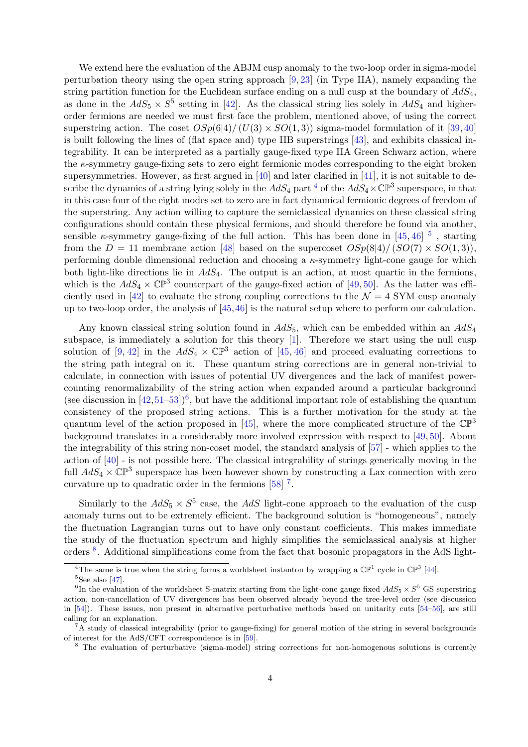We extend here the evaluation of the ABJM cusp anomaly to the two-loop order in sigma-model perturbation theory using the open string approach [\[9,](#page-23-2) [23\]](#page-23-14) (in Type IIA), namely expanding the string partition function for the Euclidean surface ending on a null cusp at the boundary of  $AdS_4$ , as done in the  $AdS_5 \times S^5$  setting in [\[42\]](#page-24-5). As the classical string lies solely in  $AdS_4$  and higherorder fermions are needed we must first face the problem, mentioned above, of using the correct superstring action. The coset  $OSp(6|4)/(U(3) \times SO(1,3))$  sigma-model formulation of it [\[39,](#page-24-2)[40\]](#page-24-3) is built following the lines of (flat space and) type IIB superstrings [\[43\]](#page-24-6), and exhibits classical integrability. It can be interpreted as a partially gauge-fixed type IIA Green Schwarz action, where the  $\kappa$ -symmetry gauge-fixing sets to zero eight fermionic modes corresponding to the eight broken supersymmetries. However, as first argued in [\[40\]](#page-24-3) and later clarified in [\[41\]](#page-24-4), it is not suitable to describe the dynamics of a string lying solely in the  $AdS_4$  $AdS_4$  part <sup>4</sup> of the  $AdS_4 \times \mathbb{CP}^3$  superspace, in that in this case four of the eight modes set to zero are in fact dynamical fermionic degrees of freedom of the superstring. Any action willing to capture the semiclassical dynamics on these classical string configurations should contain these physical fermions, and should therefore be found via another, sensible  $\kappa$ -symmetry gauge-fixing of the full action. This has been done in [\[45,](#page-24-7) [46\]](#page-24-8)  $^5$  $^5$ , starting from the  $D = 11$  membrane action [\[48\]](#page-24-9) based on the supercoset  $OSp(8|4)/(SO(7) \times SO(1,3))$ , performing double dimensional reduction and choosing a  $\kappa$ -symmetry light-cone gauge for which both light-like directions lie in  $AdS_4$ . The output is an action, at most quartic in the fermions, which is the  $AdS_4 \times \mathbb{CP}^3$  counterpart of the gauge-fixed action of [\[49,](#page-24-10) [50\]](#page-24-11). As the latter was effi-ciently used in [\[42\]](#page-24-5) to evaluate the strong coupling corrections to the  $\mathcal{N}=4$  SYM cusp anomaly up to two-loop order, the analysis of [\[45,](#page-24-7)[46\]](#page-24-8) is the natural setup where to perform our calculation.

Any known classical string solution found in  $AdS_5$ , which can be embedded within an  $AdS_4$ subspace, is immediately a solution for this theory [\[1\]](#page-22-0). Therefore we start using the null cusp solution of  $[9, 42]$  $[9, 42]$  in the  $AdS_4 \times \mathbb{CP}^3$  action of  $[45, 46]$  $[45, 46]$  and proceed evaluating corrections to the string path integral on it. These quantum string corrections are in general non-trivial to calculate, in connection with issues of potential UV divergences and the lack of manifest powercounting renormalizability of the string action when expanded around a particular background (see discussion in  $[42,51-53]$  $[42,51-53]$ <sup>[6](#page-4-2)</sup>, but have the additional important role of establishing the quantum consistency of the proposed string actions. This is a further motivation for the study at the quantum level of the action proposed in [\[45\]](#page-24-7), where the more complicated structure of the  $\mathbb{CP}^3$ background translates in a considerably more involved expression with respect to [\[49,](#page-24-10) [50\]](#page-24-11). About the integrability of this string non-coset model, the standard analysis of [\[57\]](#page-25-1) - which applies to the action of [\[40\]](#page-24-3) - is not possible here. The classical integrability of strings generically moving in the full  $AdS_4 \times \mathbb{CP}^3$  superspace has been however shown by constructing a Lax connection with zero curvature up to quadratic order in the fermions  $[58]$ <sup>[7](#page-4-3)</sup>.

Similarly to the  $AdS_5 \times S^5$  case, the  $AdS$  light-cone approach to the evaluation of the cusp anomaly turns out to be extremely efficient. The background solution is "homogeneous", namely the fluctuation Lagrangian turns out to have only constant coefficients. This makes immediate the study of the fluctuation spectrum and highly simplifies the semiclassical analysis at higher orders <sup>[8](#page-4-4)</sup>. Additional simplifications come from the fact that bosonic propagators in the AdS light-

<sup>&</sup>lt;sup>4</sup>The same is true when the string forms a worldsheet instanton by wrapping a  $\mathbb{CP}^1$  cycle in  $\mathbb{CP}^3$  [\[44\]](#page-24-13).

<span id="page-4-1"></span><span id="page-4-0"></span> ${}^{5}$ See also [\[47\]](#page-24-14).

<span id="page-4-2"></span><sup>&</sup>lt;sup>6</sup>In the evaluation of the worldsheet S-matrix starting from the light-cone gauge fixed  $AdS_5 \times S^5$  GS superstring action, non-cancellation of UV divergences has been observed already beyond the tree-level order (see discussion in [\[54\]](#page-25-3)). These issues, non present in alternative perturbative methods based on unitarity cuts [\[54–](#page-25-3)[56\]](#page-25-4), are still calling for an explanation.

 ${}^{7}A$  study of classical integrability (prior to gauge-fixing) for general motion of the string in several backgrounds of interest for the AdS/CFT correspondence is in [\[59\]](#page-25-5).

<span id="page-4-4"></span><span id="page-4-3"></span><sup>&</sup>lt;sup>8</sup> The evaluation of perturbative (sigma-model) string corrections for non-homogenous solutions is currently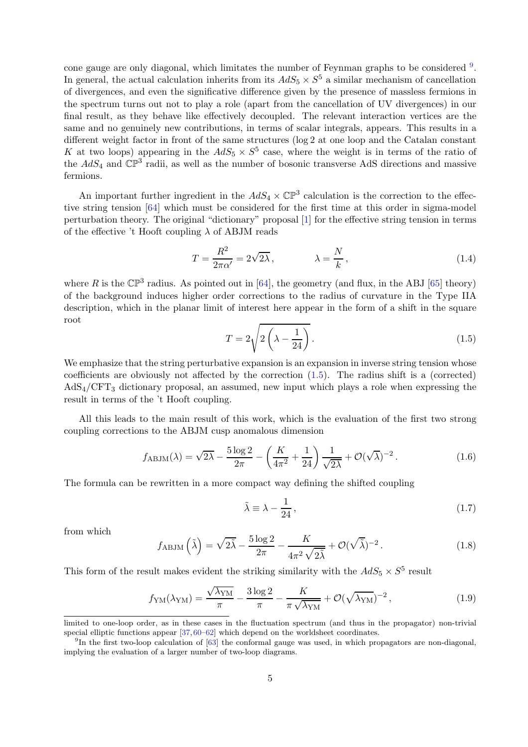cone gauge are only diagonal, which limitates the number of Feynman graphs to be considered <sup>[9](#page-5-0)</sup>. In general, the actual calculation inherits from its  $AdS_5 \times S^5$  a similar mechanism of cancellation of divergences, and even the significative difference given by the presence of massless fermions in the spectrum turns out not to play a role (apart from the cancellation of UV divergences) in our final result, as they behave like effectively decoupled. The relevant interaction vertices are the same and no genuinely new contributions, in terms of scalar integrals, appears. This results in a different weight factor in front of the same structures (log 2 at one loop and the Catalan constant K at two loops) appearing in the  $AdS_5 \times S^5$  case, where the weight is in terms of the ratio of the  $AdS_4$  and  $\mathbb{CP}^3$  radii, as well as the number of bosonic transverse AdS directions and massive fermions.

An important further ingredient in the  $AdS_4 \times \mathbb{CP}^3$  calculation is the correction to the effective string tension [\[64\]](#page-25-6) which must be considered for the first time at this order in sigma-model perturbation theory. The original "dictionary" proposal [\[1\]](#page-22-0) for the effective string tension in terms of the effective 't Hooft coupling  $\lambda$  of ABJM reads

$$
T = \frac{R^2}{2\pi\alpha'} = 2\sqrt{2\lambda}, \qquad \lambda = \frac{N}{k}, \qquad (1.4)
$$

where R is the  $\mathbb{CP}^3$  radius. As pointed out in [\[64\]](#page-25-6), the geometry (and flux, in the ABJ [\[65\]](#page-25-7) theory) of the background induces higher order corrections to the radius of curvature in the Type IIA description, which in the planar limit of interest here appear in the form of a shift in the square root

<span id="page-5-1"></span>
$$
T = 2\sqrt{2\left(\lambda - \frac{1}{24}\right)}.
$$
\n(1.5)

We emphasize that the string perturbative expansion is an expansion in inverse string tension whose coefficients are obviously not affected by the correction  $(1.5)$ . The radius shift is a (corrected)  $AdS<sub>4</sub>/CFT<sub>3</sub>$  dictionary proposal, an assumed, new input which plays a role when expressing the result in terms of the 't Hooft coupling.

All this leads to the main result of this work, which is the evaluation of the first two strong coupling corrections to the ABJM cusp anomalous dimension

<span id="page-5-2"></span>
$$
f_{\rm ABJM}(\lambda) = \sqrt{2\lambda} - \frac{5\log 2}{2\pi} - \left(\frac{K}{4\pi^2} + \frac{1}{24}\right) \frac{1}{\sqrt{2\lambda}} + \mathcal{O}(\sqrt{\lambda})^{-2}.
$$
 (1.6)

The formula can be rewritten in a more compact way defining the shifted coupling

$$
\tilde{\lambda} \equiv \lambda - \frac{1}{24},\tag{1.7}
$$

from which

$$
f_{\text{ABJM}}\left(\tilde{\lambda}\right) = \sqrt{2\tilde{\lambda}} - \frac{5\log 2}{2\pi} - \frac{K}{4\pi^2\sqrt{2\tilde{\lambda}}} + \mathcal{O}(\sqrt{\tilde{\lambda}})^{-2}.
$$
 (1.8)

This form of the result makes evident the striking similarity with the  $AdS_5 \times S^5$  result

$$
f_{\rm YM}(\lambda_{\rm YM}) = \frac{\sqrt{\lambda_{\rm YM}}}{\pi} - \frac{3\log 2}{\pi} - \frac{K}{\pi\sqrt{\lambda_{\rm YM}}} + \mathcal{O}(\sqrt{\lambda_{\rm YM}})^{-2},\tag{1.9}
$$

limited to one-loop order, as in these cases in the fluctuation spectrum (and thus in the propagator) non-trivial special elliptic functions appear [\[37,](#page-24-0) [60–](#page-25-8)[62\]](#page-25-9) which depend on the worldsheet coordinates.

<span id="page-5-0"></span><sup>&</sup>lt;sup>9</sup>In the first two-loop calculation of [\[63\]](#page-25-10) the conformal gauge was used, in which propagators are non-diagonal, implying the evaluation of a larger number of two-loop diagrams.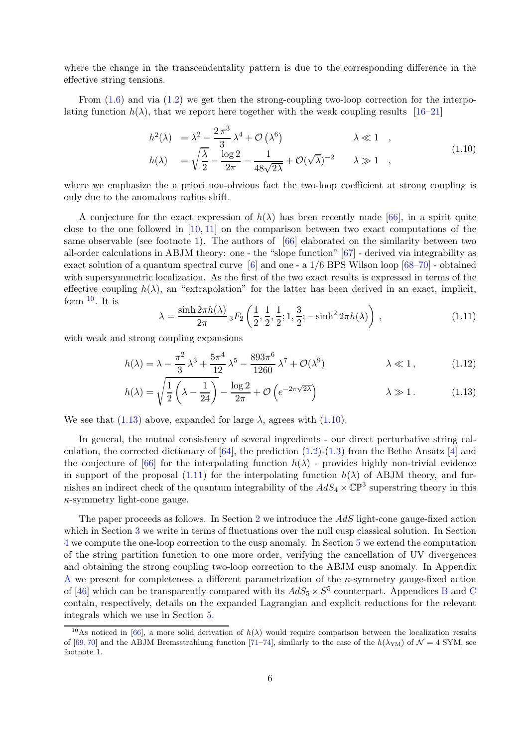where the change in the transcendentality pattern is due to the corresponding difference in the effective string tensions.

From  $(1.6)$  and via  $(1.2)$  we get then the strong-coupling two-loop correction for the interpolating function  $h(\lambda)$ , that we report here together with the weak coupling results [\[16–](#page-23-3)[21\]](#page-23-6)

<span id="page-6-2"></span>
$$
h^{2}(\lambda) = \lambda^{2} - \frac{2\pi^{3}}{3}\lambda^{4} + \mathcal{O}(\lambda^{6}) \qquad \lambda \ll 1 ,
$$
  
\n
$$
h(\lambda) = \sqrt{\frac{\lambda}{2}} - \frac{\log 2}{2\pi} - \frac{1}{48\sqrt{2\lambda}} + \mathcal{O}(\sqrt{\lambda})^{-2} \qquad \lambda \gg 1 ,
$$
\n(1.10)

where we emphasize the a priori non-obvious fact the two-loop coefficient at strong coupling is only due to the anomalous radius shift.

A conjecture for the exact expression of  $h(\lambda)$  has been recently made [\[66\]](#page-25-11), in a spirit quite close to the one followed in  $[10, 11]$  $[10, 11]$  on the comparison between two exact computations of the same observable (see footnote 1). The authors of [\[66\]](#page-25-11) elaborated on the similarity between two all-order calculations in ABJM theory: one - the "slope function" [\[67\]](#page-25-12) - derived via integrability as exact solution of a quantum spectral curve [\[6\]](#page-23-0) and one - a 1/6 BPS Wilson loop [\[68](#page-25-13)[–70\]](#page-25-14) - obtained with supersymmetric localization. As the first of the two exact results is expressed in terms of the effective coupling  $h(\lambda)$ , an "extrapolation" for the latter has been derived in an exact, implicit, form  $10$ . It is

<span id="page-6-3"></span><span id="page-6-1"></span>
$$
\lambda = \frac{\sinh 2\pi h(\lambda)}{2\pi} {}_3F_2\left(\frac{1}{2}, \frac{1}{2}, \frac{1}{2}; 1, \frac{3}{2}; -\sinh^2 2\pi h(\lambda)\right),\tag{1.11}
$$

with weak and strong coupling expansions

$$
h(\lambda) = \lambda - \frac{\pi^2}{3} \lambda^3 + \frac{5\pi^4}{12} \lambda^5 - \frac{893\pi^6}{1260} \lambda^7 + \mathcal{O}(\lambda^9) \qquad \lambda \ll 1, \qquad (1.12)
$$

$$
h(\lambda) = \sqrt{\frac{1}{2} \left( \lambda - \frac{1}{24} \right)} - \frac{\log 2}{2\pi} + \mathcal{O}\left(e^{-2\pi\sqrt{2\lambda}}\right) \qquad \lambda \gg 1. \qquad (1.13)
$$

We see that [\(1.13\)](#page-6-1) above, expanded for large  $\lambda$ , agrees with [\(1.10\)](#page-6-2).

In general, the mutual consistency of several ingredients - our direct perturbative string calculation, the corrected dictionary of  $[64]$ , the prediction  $(1.2)-(1.3)$  $(1.2)-(1.3)$  from the Bethe Ansatz  $[4]$  and the conjecture of [\[66\]](#page-25-11) for the interpolating function  $h(\lambda)$  - provides highly non-trivial evidence in support of the proposal [\(1.11\)](#page-6-3) for the interpolating function  $h(\lambda)$  of ABJM theory, and furnishes an indirect check of the quantum integrability of the  $AdS_4 \times \mathbb{CP}^3$  superstring theory in this  $\kappa$ -symmetry light-cone gauge.

The paper proceeds as follows. In Section [2](#page-7-0) we introduce the AdS light-cone gauge-fixed action which in Section [3](#page-9-0) we write in terms of fluctuations over the null cusp classical solution. In Section [4](#page-11-0) we compute the one-loop correction to the cusp anomaly. In Section [5](#page-12-0) we extend the computation of the string partition function to one more order, verifying the cancellation of UV divergences and obtaining the strong coupling two-loop correction to the ABJM cusp anomaly. In Appendix [A](#page-18-0) we present for completeness a different parametrization of the  $\kappa$ -symmetry gauge-fixed action of [\[46\]](#page-24-8) which can be transparently compared with its  $AdS_5 \times S^5$  counterpart. Appendices [B](#page-21-0) and [C](#page-21-1) contain, respectively, details on the expanded Lagrangian and explicit reductions for the relevant integrals which we use in Section [5.](#page-12-0)

<span id="page-6-0"></span><sup>&</sup>lt;sup>10</sup>As noticed in [\[66\]](#page-25-11), a more solid derivation of  $h(\lambda)$  would require comparison between the localization results of [\[69,](#page-25-15) [70\]](#page-25-14) and the ABJM Bremsstrahlung function [\[71](#page-25-16)[–74\]](#page-25-17), similarly to the case of the  $h(\lambda_{\text{YM}})$  of  $\mathcal{N}=4$  SYM, see footnote 1.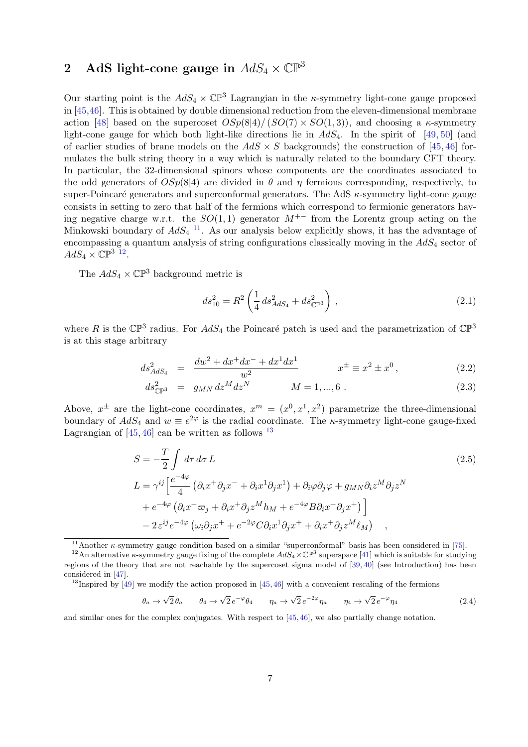# <span id="page-7-0"></span>2 AdS light-cone gauge in  $AdS_4 \times \mathbb{CP}^3$

Our starting point is the  $AdS_4 \times \mathbb{CP}^3$  Lagrangian in the *k*-symmetry light-cone gauge proposed in [\[45,](#page-24-7)[46\]](#page-24-8). This is obtained by double dimensional reduction from the eleven-dimensional membrane action [\[48\]](#page-24-9) based on the supercoset  $OSp(8|4)/(SO(7) \times SO(1, 3))$ , and choosing a  $\kappa$ -symmetry light-cone gauge for which both light-like directions lie in  $AdS_4$ . In the spirit of [\[49,](#page-24-10) [50\]](#page-24-11) (and of earlier studies of brane models on the  $AdS \times S$  backgrounds) the construction of [\[45,](#page-24-7) [46\]](#page-24-8) formulates the bulk string theory in a way which is naturally related to the boundary CFT theory. In particular, the 32-dimensional spinors whose components are the coordinates associated to the odd generators of  $OSp(8|4)$  are divided in  $\theta$  and  $\eta$  fermions corresponding, respectively, to super-Poincaré generators and superconformal generators. The AdS  $\kappa$ -symmetry light-cone gauge consists in setting to zero that half of the fermions which correspond to fermionic generators having negative charge w.r.t. the  $SO(1,1)$  generator  $M^{+-}$  from the Lorentz group acting on the Minkowski boundary of  $AdS_4$ <sup>[11](#page-7-1)</sup>. As our analysis below explicitly shows, it has the advantage of encompassing a quantum analysis of string configurations classically moving in the  $AdS<sub>4</sub>$  sector of  $AdS_4 \times \mathbb{CP}^{3}$ <sup>[12](#page-7-2)</sup>.

The  $AdS_4 \times \mathbb{CP}^3$  background metric is

<span id="page-7-4"></span>
$$
ds_{10}^2 = R^2 \left( \frac{1}{4} ds_{AdS_4}^2 + ds_{\mathbb{CP}^3}^2 \right), \qquad (2.1)
$$

where R is the  $\mathbb{CP}^3$  radius. For  $AdS_4$  the Poincaré patch is used and the parametrization of  $\mathbb{CP}^3$ is at this stage arbitrary

$$
ds_{AdS_4}^2 = \frac{dw^2 + dx^+ dx^- + dx^1 dx^1}{w^2} \qquad x^{\pm} \equiv x^2 \pm x^0, \qquad (2.2)
$$

$$
ds_{\mathbb{CP}^3}^2 = g_{MN} dz^M dz^N \qquad M = 1, ..., 6.
$$
 (2.3)

Above,  $x^{\pm}$  are the light-cone coordinates,  $x^{m} = (x^{0}, x^{1}, x^{2})$  parametrize the three-dimensional boundary of  $AdS_4$  and  $w \equiv e^{2\varphi}$  is the radial coordinate. The *k*-symmetry light-cone gauge-fixed Lagrangian of  $[45, 46]$  $[45, 46]$  can be written as follows  $^{13}$  $^{13}$  $^{13}$ 

$$
S = -\frac{T}{2} \int d\tau d\sigma L
$$
\n
$$
L = \gamma^{ij} \left[ \frac{e^{-4\varphi}}{4} \left( \partial_i x^+ \partial_j x^- + \partial_i x^1 \partial_j x^1 \right) + \partial_i \varphi \partial_j \varphi + g_{MN} \partial_i z^M \partial_j z^N \right. \\
\left. + e^{-4\varphi} \left( \partial_i x^+ \varpi_j + \partial_i x^+ \partial_j z^M h_M + e^{-4\varphi} B \partial_i x^+ \partial_j x^+ \right) \right] \\
- 2 \varepsilon^{ij} e^{-4\varphi} \left( \omega_i \partial_j x^+ + e^{-2\varphi} C \partial_i x^1 \partial_j x^+ + \partial_i x^+ \partial_j z^M \ell_M \right) ,
$$
\n
$$
(2.5)
$$

<span id="page-7-1"></span><sup>11</sup>Another  $\kappa$ -symmetry gauge condition based on a similar "superconformal" basis has been considered in [\[75\]](#page-25-18).

<span id="page-7-3"></span><sup>13</sup>Inspired by [\[49\]](#page-24-10) we modify the action proposed in [\[45,](#page-24-7)[46\]](#page-24-8) with a convenient rescaling of the fermions

$$
\theta_a \to \sqrt{2} \theta_a \qquad \theta_4 \to \sqrt{2} e^{-\varphi} \theta_4 \qquad \eta_a \to \sqrt{2} e^{-2\varphi} \eta_a \qquad \eta_4 \to \sqrt{2} e^{-\varphi} \eta_4 \tag{2.4}
$$

and similar ones for the complex conjugates. With respect to [\[45,](#page-24-7) [46\]](#page-24-8), we also partially change notation.

<span id="page-7-2"></span><sup>&</sup>lt;sup>12</sup>An alternative  $\kappa$ -symmetry gauge fixing of the complete  $AdS_4 \times \mathbb{CP}^3$  superspace [\[41\]](#page-24-4) which is suitable for studying regions of the theory that are not reachable by the supercoset sigma model of [\[39,](#page-24-2) [40\]](#page-24-3) (see Introduction) has been considered in [\[47\]](#page-24-14).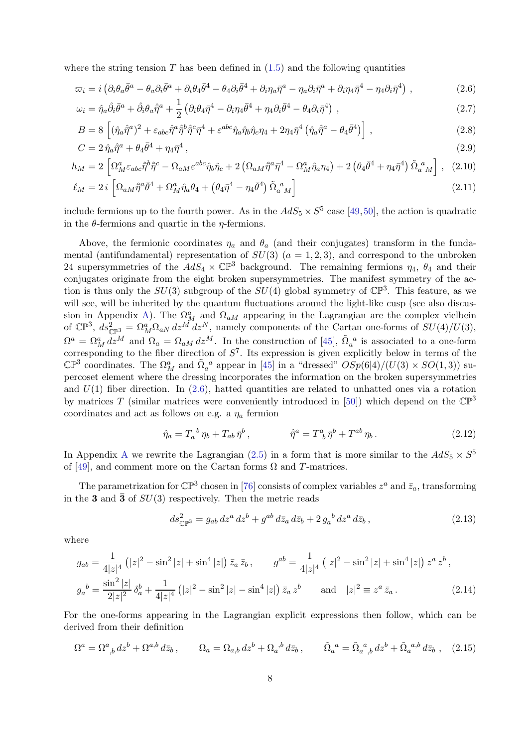where the string tension  $T$  has been defined in  $(1.5)$  and the following quantities

<span id="page-8-0"></span>
$$
\varpi_i = i \left( \partial_i \theta_a \bar{\theta}^a - \theta_a \partial_i \bar{\theta}^a + \partial_i \theta_4 \bar{\theta}^4 - \theta_4 \partial_i \bar{\theta}^4 + \partial_i \eta_a \bar{\eta}^a - \eta_a \partial_i \bar{\eta}^a + \partial_i \eta_4 \bar{\eta}^4 - \eta_4 \partial_i \bar{\eta}^4 \right) ,
$$
\n(2.6)

$$
\omega_i = \hat{\eta}_a \hat{\partial}_i \bar{\theta}^a + \hat{\partial}_i \theta_a \hat{\eta}^a + \frac{1}{2} \left( \partial_i \theta_4 \bar{\eta}^4 - \partial_i \eta_4 \bar{\theta}^4 + \eta_4 \partial_i \bar{\theta}^4 - \theta_4 \partial_i \bar{\eta}^4 \right) , \qquad (2.7)
$$

$$
B = 8\left[ (\hat{\eta}_a \hat{\eta}^a)^2 + \varepsilon_{abc} \hat{\eta}^a \hat{\eta}^b \hat{\eta}^c \bar{\eta}^4 + \varepsilon^{abc} \hat{\eta}_a \hat{\eta}_b \hat{\eta}_c \eta_4 + 2\eta_4 \bar{\eta}^4 \left( \hat{\eta}_a \hat{\eta}^a - \theta_4 \bar{\theta}^4 \right) \right],
$$
\n(2.8)

$$
C = 2\,\hat{\eta}_a\hat{\eta}^a + \theta_4\bar{\theta}^4 + \eta_4\bar{\eta}^4\,,\tag{2.9}
$$

$$
h_M = 2 \left[ \Omega_M^a \varepsilon_{abc} \hat{\eta}^b \hat{\eta}^c - \Omega_{aM} \varepsilon^{abc} \hat{\eta}_b \hat{\eta}_c + 2 \left( \Omega_{aM} \hat{\eta}^a \hat{\eta}^4 - \Omega_M^a \hat{\eta}_a \eta_4 \right) + 2 \left( \theta_4 \bar{\theta}^4 + \eta_4 \bar{\eta}^4 \right) \tilde{\Omega}_a^{\ a}{}_{M} \right], \tag{2.10}
$$

$$
\ell_M = 2 i \left[ \Omega_{aM} \hat{\eta}^a \bar{\theta}^4 + \Omega_M^a \hat{\eta}_a \theta_4 + \left( \theta_4 \bar{\eta}^4 - \eta_4 \bar{\theta}^4 \right) \tilde{\Omega}_a^{\ a}{}_M \right] \tag{2.11}
$$

include fermions up to the fourth power. As in the  $AdS_5 \times S^5$  case [\[49,](#page-24-10)[50\]](#page-24-11), the action is quadratic in the  $\theta$ -fermions and quartic in the  $\eta$ -fermions.

Above, the fermionic coordinates  $\eta_a$  and  $\theta_a$  (and their conjugates) transform in the fundamental (antifundamental) representation of  $SU(3)$   $(a = 1, 2, 3)$ , and correspond to the unbroken 24 supersymmetries of the  $AdS_4 \times \mathbb{CP}^3$  background. The remaining fermions  $\eta_4$ ,  $\theta_4$  and their conjugates originate from the eight broken supersymmetries. The manifest symmetry of the action is thus only the  $SU(3)$  subgroup of the  $SU(4)$  global symmetry of  $\mathbb{CP}^3$ . This feature, as we will see, will be inherited by the quantum fluctuations around the light-like cusp (see also discus-sion in Appendix [A\)](#page-18-0). The  $\Omega_M^a$  and  $\Omega_{aM}$  appearing in the Lagrangian are the complex vielbein of  $\mathbb{CP}^3$ ,  $ds_{\mathbb{CP}^3}^2 = \Omega_M^a \Omega_{aN} dz^{\tilde{M}} dz^N$ , namely components of the Cartan one-forms of  $SU(4)/U(3)$ ,  $\Omega^a = \Omega^a_M \, d\bar{z}^M$  and  $\Omega_a = \Omega_{aM} \, dz^M$ . In the construction of [\[45\]](#page-24-7),  $\tilde{\Omega}_a{}^a$  is associated to a one-form corresponding to the fiber direction of  $S<sup>7</sup>$ . Its expression is given explicitly below in terms of the  $\mathbb{CP}^3$  coordinates. The  $\Omega^a_M$  and  $\tilde{\Omega}^a_a$  appear in [\[45\]](#page-24-7) in a "dressed"  $OSp(6|4)/(U(3) \times SO(1,3))$  supercoset element where the dressing incorporates the information on the broken supersymmetries and  $U(1)$  fiber direction. In  $(2.6)$ , hatted quantities are related to unhatted ones via a rotation by matrices T (similar matrices were conveniently introduced in [\[50\]](#page-24-11)) which depend on the  $\mathbb{CP}^3$ coordinates and act as follows on e.g. a  $\eta_a$  fermion

<span id="page-8-1"></span>
$$
\hat{\eta}_a = T_a{}^b \eta_b + T_{ab} \,\bar{\eta}^b \,, \qquad \qquad \hat{\eta}^a = T^a{}_b \,\bar{\eta}^b + T^{ab} \,\eta_b \,. \tag{2.12}
$$

In [A](#page-18-0)ppendix A we rewrite the Lagrangian [\(2.5\)](#page-7-4) in a form that is more similar to the  $AdS_5 \times S^5$ of [\[49\]](#page-24-10), and comment more on the Cartan forms  $\Omega$  and T-matrices.

The parametrization for  $\mathbb{CP}^3$  chosen in [\[76\]](#page-26-0) consists of complex variables  $z^a$  and  $\bar{z}_a$ , transforming in the 3 and  $\bar{3}$  of  $SU(3)$  respectively. Then the metric reads

$$
ds_{\mathbb{CP}^3}^2 = g_{ab} \, dz^a \, dz^b + g^{ab} \, d\bar{z}_a \, d\bar{z}_b + 2 \, g_a{}^b \, dz^a \, d\bar{z}_b \,,\tag{2.13}
$$

where

$$
g_{ab} = \frac{1}{4|z|^4} \left( |z|^2 - \sin^2|z| + \sin^4|z| \right) \bar{z}_a \, \bar{z}_b \,, \qquad g^{ab} = \frac{1}{4|z|^4} \left( |z|^2 - \sin^2|z| + \sin^4|z| \right) z^a \, z^b \,,
$$
  
\n
$$
g_a{}^b = \frac{\sin^2|z|}{2|z|^2} \, \delta_a^b + \frac{1}{4|z|^4} \left( |z|^2 - \sin^2|z| - \sin^4|z| \right) \bar{z}_a \, z^b \qquad \text{and} \quad |z|^2 \equiv z^a \, \bar{z}_a \,.
$$
\n(2.14)

For the one-forms appearing in the Lagrangian explicit expressions then follow, which can be derived from their definition

$$
\Omega^a = \Omega^a_{\ \,b} \, dz^b + \Omega^{a,b} \, d\bar{z}_b \,, \qquad \Omega_a = \Omega_{a,b} \, dz^b + \Omega_a^{\ \,b} \, d\bar{z}_b \,, \qquad \tilde{\Omega}_a^{\ \,a} = \tilde{\Omega}_a^{\ \,a}_{\ \,b} \, dz^b + \tilde{\Omega}_a^{\ \,a,b} \, d\bar{z}_b \,, \tag{2.15}
$$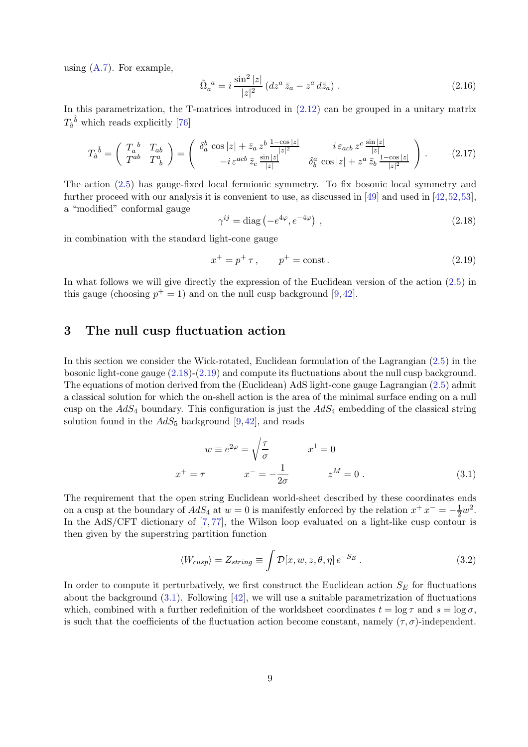using  $(A.7)$ . For example,

<span id="page-9-6"></span>
$$
\tilde{\Omega}_a^{\ a} = i \, \frac{\sin^2 |z|}{|z|^2} \left( dz^a \, \bar{z}_a - z^a \, d\bar{z}_a \right) \,. \tag{2.16}
$$

In this parametrization, the T-matrices introduced in [\(2.12\)](#page-8-1) can be grouped in a unitary matrix  $T_{\hat{a}}{}^{\hat{b}}$  which reads explicitly [\[76\]](#page-26-0)

<span id="page-9-5"></span>
$$
T_a^{\hat{b}} = \begin{pmatrix} T_a^{\hat{b}} & T_{ab} \\ T^{ab} & T^a_{\hat{b}} \end{pmatrix} = \begin{pmatrix} \delta_a^b \cos|z| + \bar{z}_a z^b \frac{1 - \cos|z|}{|z|^2} & i \varepsilon_{acb} z^c \frac{\sin|z|}{|z|} \\ -i \varepsilon^{acb} \bar{z}_c \frac{\sin|z|}{|z|} & \delta_b^a \cos|z| + z^a \bar{z}_b \frac{1 - \cos|z|}{|z|^2} \end{pmatrix} . \tag{2.17}
$$

The action [\(2.5\)](#page-7-4) has gauge-fixed local fermionic symmetry. To fix bosonic local symmetry and further proceed with our analysis it is convenient to use, as discussed in [\[49\]](#page-24-10) and used in [\[42,](#page-24-5)[52,](#page-25-19)[53\]](#page-25-0), a "modified" conformal gauge

<span id="page-9-1"></span>
$$
\gamma^{ij} = \text{diag}\left(-e^{4\varphi}, e^{-4\varphi}\right) \,,\tag{2.18}
$$

in combination with the standard light-cone gauge

<span id="page-9-2"></span>
$$
x^{+} = p^{+} \tau, \qquad p^{+} = \text{const.}
$$
 (2.19)

In what follows we will give directly the expression of the Euclidean version of the action [\(2.5\)](#page-7-4) in this gauge (choosing  $p^+ = 1$ ) and on the null cusp background [\[9,](#page-23-2)[42\]](#page-24-5).

# <span id="page-9-0"></span>3 The null cusp fluctuation action

In this section we consider the Wick-rotated, Euclidean formulation of the Lagrangian [\(2.5\)](#page-7-4) in the bosonic light-cone gauge [\(2.18\)](#page-9-1)-[\(2.19\)](#page-9-2) and compute its fluctuations about the null cusp background. The equations of motion derived from the (Euclidean) AdS light-cone gauge Lagrangian [\(2.5\)](#page-7-4) admit a classical solution for which the on-shell action is the area of the minimal surface ending on a null cusp on the  $AdS_4$  boundary. This configuration is just the  $AdS_4$  embedding of the classical string solution found in the  $AdS_5$  background [\[9,](#page-23-2) [42\]](#page-24-5), and reads

<span id="page-9-3"></span>
$$
w \equiv e^{2\varphi} = \sqrt{\frac{\tau}{\sigma}} \qquad x^1 = 0
$$
  

$$
x^+ = \tau \qquad x^- = -\frac{1}{2\sigma} \qquad z^M = 0.
$$
 (3.1)

The requirement that the open string Euclidean world-sheet described by these coordinates ends on a cusp at the boundary of  $AdS_4$  at  $w = 0$  is manifestly enforced by the relation  $x^+ x^- = -\frac{1}{2}w^2$ . In the AdS/CFT dictionary of [\[7,](#page-23-1)[77\]](#page-26-1), the Wilson loop evaluated on a light-like cusp contour is then given by the superstring partition function

<span id="page-9-4"></span>
$$
\langle W_{cusp} \rangle = Z_{string} \equiv \int \mathcal{D}[x, w, z, \theta, \eta] e^{-S_E} . \tag{3.2}
$$

In order to compute it perturbatively, we first construct the Euclidean action  $S_E$  for fluctuations about the background [\(3.1\)](#page-9-3). Following [\[42\]](#page-24-5), we will use a suitable parametrization of fluctuations which, combined with a further redefinition of the worldsheet coordinates  $t = \log \tau$  and  $s = \log \sigma$ , is such that the coefficients of the fluctuation action become constant, namely  $(\tau, \sigma)$ -independent.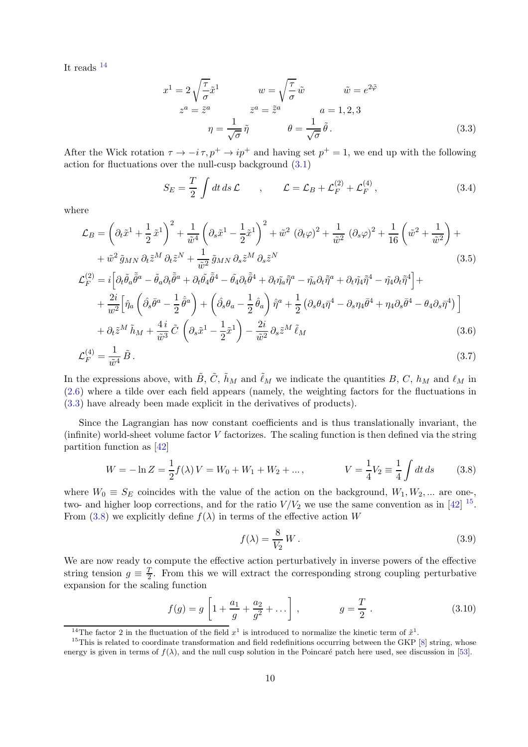It reads  $^{14}$  $^{14}$  $^{14}$ 

<span id="page-10-1"></span>
$$
x^{1} = 2\sqrt{\frac{\tau}{\sigma}}\tilde{x}^{1} \qquad w = \sqrt{\frac{\tau}{\sigma}}\tilde{w} \qquad \tilde{w} = e^{2\tilde{\varphi}}
$$
  

$$
z^{a} = \tilde{z}^{a} \qquad \tilde{z}^{a} = \tilde{z}^{a} \qquad a = 1, 2, 3
$$
  

$$
\eta = \frac{1}{\sqrt{\sigma}}\tilde{\eta} \qquad \theta = \frac{1}{\sqrt{\sigma}}\tilde{\theta}.
$$
 (3.3)

After the Wick rotation  $\tau \to -i \tau$ ,  $p^+ \to ip^+$  and having set  $p^+ = 1$ , we end up with the following action for fluctuations over the null-cusp background [\(3.1\)](#page-9-3)

<span id="page-10-4"></span>
$$
S_E = \frac{T}{2} \int dt \, ds \mathcal{L} \qquad , \qquad \mathcal{L} = \mathcal{L}_B + \mathcal{L}_F^{(2)} + \mathcal{L}_F^{(4)} \,, \tag{3.4}
$$

where

$$
\mathcal{L}_B = \left(\partial_t \tilde{x}^1 + \frac{1}{2} \tilde{x}^1\right)^2 + \frac{1}{\tilde{w}^4} \left(\partial_s \tilde{x}^1 - \frac{1}{2} \tilde{x}^1\right)^2 + \tilde{w}^2 \left(\partial_t \varphi\right)^2 + \frac{1}{\tilde{w}^2} \left(\partial_s \varphi\right)^2 + \frac{1}{16} \left(\tilde{w}^2 + \frac{1}{\tilde{w}^2}\right) + \frac{1}{\tilde{w}^2} \tilde{g}_{MN} \partial_t \tilde{z}^M + \frac{1}{\tilde{w}^2} \tilde{g}_{MN} \partial_s \tilde{z}^M \partial_s \tilde{z}^N
$$
\n(3.5)

$$
\mathcal{L}_{F}^{(2)} = i \left[ \partial_{t} \tilde{\theta}_{a} \tilde{\bar{\theta}}^{a} - \tilde{\theta}_{a} \partial_{t} \tilde{\bar{\theta}}^{a} + \partial_{t} \tilde{\theta}_{4} \tilde{\bar{\theta}}^{4} - \tilde{\theta}_{4} \partial_{t} \tilde{\bar{\theta}}^{4} + \partial_{t} \tilde{\eta}_{a} \tilde{\bar{\eta}}^{a} - \tilde{\eta}_{a} \partial_{t} \tilde{\bar{\eta}}^{a} + \partial_{t} \tilde{\eta}_{4} \tilde{\bar{\eta}}^{4} - \tilde{\eta}_{4} \partial_{t} \tilde{\bar{\eta}}^{4} \right] + + \frac{2i}{w^{2}} \left[ \hat{\eta}_{a} \left( \hat{\partial}_{s} \bar{\theta}^{a} - \frac{1}{2} \hat{\theta}^{a} \right) + \left( \hat{\partial}_{s} \theta_{a} - \frac{1}{2} \hat{\theta}_{a} \right) \hat{\eta}^{a} + \frac{1}{2} \left( \partial_{s} \theta_{4} \bar{\eta}^{4} - \partial_{s} \eta_{4} \bar{\theta}^{4} + \eta_{4} \partial_{s} \bar{\theta}^{4} - \theta_{4} \partial_{s} \bar{\eta}^{4} \right) \right] + \partial_{t} \tilde{z}^{M} \tilde{h}_{M} + \frac{4i}{\tilde{w}^{3}} \tilde{C} \left( \partial_{s} \tilde{x}^{1} - \frac{1}{2} \tilde{x}^{1} \right) - \frac{2i}{\tilde{w}^{2}} \partial_{s} \tilde{z}^{M} \tilde{\ell}_{M}
$$
(3.6)

$$
\mathcal{L}_F^{(4)} = \frac{1}{\tilde{w}^4} \tilde{B} \,. \tag{3.7}
$$

In the expressions above, with  $\tilde{B}$ ,  $\tilde{C}$ ,  $\tilde{h}_M$  and  $\tilde{\ell}_M$  we indicate the quantities  $B$ ,  $C$ ,  $h_M$  and  $\ell_M$  in [\(2.6\)](#page-8-0) where a tilde over each field appears (namely, the weighting factors for the fluctuations in [\(3.3\)](#page-10-1) have already been made explicit in the derivatives of products).

Since the Lagrangian has now constant coefficients and is thus translationally invariant, the (infinite) world-sheet volume factor V factorizes. The scaling function is then defined via the string partition function as [\[42\]](#page-24-5)

<span id="page-10-3"></span>
$$
W = -\ln Z = \frac{1}{2}f(\lambda)V = W_0 + W_1 + W_2 + \dots, \qquad V = \frac{1}{4}V_2 \equiv \frac{1}{4}\int dt \, ds \qquad (3.8)
$$

where  $W_0 \equiv S_E$  coincides with the value of the action on the background,  $W_1, W_2, ...$  are onetwo- and higher loop corrections, and for the ratio  $V/V_2$  we use the same convention as in [\[42\]](#page-24-5) <sup>[15](#page-10-2)</sup>. From [\(3.8\)](#page-10-3) we explicitly define  $f(\lambda)$  in terms of the effective action W

<span id="page-10-5"></span>
$$
f(\lambda) = \frac{8}{V_2} W. \tag{3.9}
$$

We are now ready to compute the effective action perturbatively in inverse powers of the effective string tension  $g \equiv \frac{T}{2}$  $\frac{T}{2}$ . From this we will extract the corresponding strong coupling perturbative expansion for the scaling function

<span id="page-10-6"></span>
$$
f(g) = g \left[ 1 + \frac{a_1}{g} + \frac{a_2}{g^2} + \dots \right], \qquad g = \frac{T}{2} \,. \tag{3.10}
$$

<span id="page-10-0"></span><sup>&</sup>lt;sup>14</sup>The factor 2 in the fluctuation of the field  $x^1$  is introduced to normalize the kinetic term of  $\tilde{x}^1$ .

<span id="page-10-2"></span> $15$ This is related to coordinate transformation and field redefinitions occurring between the GKP [\[8\]](#page-23-17) string, whose energy is given in terms of  $f(\lambda)$ , and the null cusp solution in the Poincaré patch here used, see discussion in [\[53\]](#page-25-0).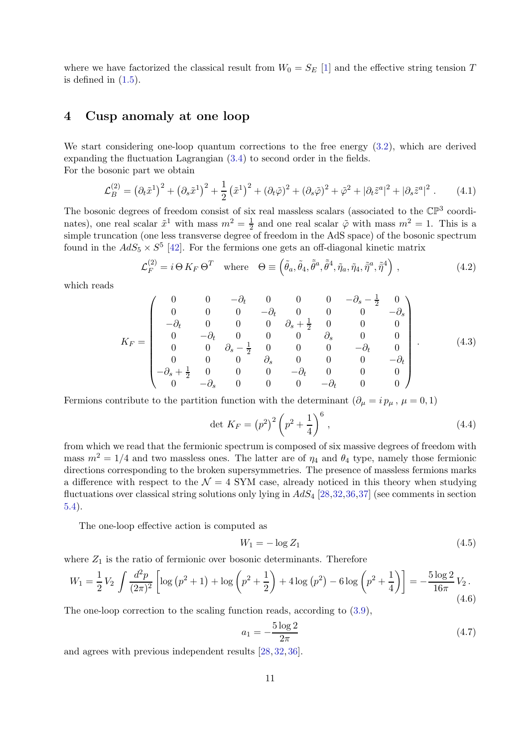where we have factorized the classical result from  $W_0 = S_E$  [\[1\]](#page-22-0) and the effective string tension T is defined in  $(1.5)$ .

### <span id="page-11-0"></span>4 Cusp anomaly at one loop

We start considering one-loop quantum corrections to the free energy [\(3.2\)](#page-9-4), which are derived expanding the fluctuation Lagrangian [\(3.4\)](#page-10-4) to second order in the fields. For the bosonic part we obtain

$$
\mathcal{L}_B^{(2)} = (\partial_t \tilde{x}^1)^2 + (\partial_s \tilde{x}^1)^2 + \frac{1}{2} (\tilde{x}^1)^2 + (\partial_t \tilde{\varphi})^2 + (\partial_s \tilde{\varphi})^2 + \tilde{\varphi}^2 + |\partial_t \tilde{z}^a|^2 + |\partial_s \tilde{z}^a|^2.
$$
 (4.1)

The bosonic degrees of freedom consist of six real massless scalars (associated to the  $\mathbb{CP}^3$  coordinates), one real scalar  $\tilde{x}^1$  with mass  $m^2 = \frac{1}{2}$  $\frac{1}{2}$  and one real scalar  $\tilde{\varphi}$  with mass  $m^2 = 1$ . This is a simple truncation (one less transverse degree of freedom in the AdS space) of the bosonic spectrum found in the  $AdS_5 \times S^5$  [\[42\]](#page-24-5). For the fermions one gets an off-diagonal kinetic matrix

$$
\mathcal{L}_F^{(2)} = i \Theta K_F \Theta^T \quad \text{where} \quad \Theta \equiv \left( \tilde{\theta}_a, \tilde{\theta}_4, \tilde{\bar{\theta}}^a, \tilde{\bar{\theta}}^4, \tilde{\eta}_a, \tilde{\eta}_4, \tilde{\bar{\eta}}^a, \tilde{\bar{\eta}}^4 \right), \tag{4.2}
$$

which reads

<span id="page-11-1"></span>
$$
K_F = \begin{pmatrix} 0 & 0 & -\partial_t & 0 & 0 & 0 & -\partial_s - \frac{1}{2} & 0 \\ 0 & 0 & 0 & -\partial_t & 0 & 0 & 0 & -\partial_s \\ -\partial_t & 0 & 0 & 0 & \partial_s + \frac{1}{2} & 0 & 0 & 0 \\ 0 & -\partial_t & 0 & 0 & 0 & \partial_s & 0 & 0 \\ 0 & 0 & \partial_s - \frac{1}{2} & 0 & 0 & 0 & -\partial_t & 0 \\ 0 & 0 & 0 & \partial_s & 0 & 0 & 0 & -\partial_t \\ -\partial_s + \frac{1}{2} & 0 & 0 & 0 & -\partial_t & 0 & 0 \\ 0 & -\partial_s & 0 & 0 & 0 & -\partial_t & 0 & 0 \end{pmatrix} . \tag{4.3}
$$

Fermions contribute to the partition function with the determinant  $(\partial_{\mu} = i p_{\mu}, \mu = 0, 1)$ 

$$
\det K_F = (p^2)^2 \left( p^2 + \frac{1}{4} \right)^6, \tag{4.4}
$$

from which we read that the fermionic spectrum is composed of six massive degrees of freedom with mass  $m^2 = 1/4$  and two massless ones. The latter are of  $\eta_4$  and  $\theta_4$  type, namely those fermionic directions corresponding to the broken supersymmetries. The presence of massless fermions marks a difference with respect to the  $\mathcal{N} = 4$  SYM case, already noticed in this theory when studying fluctuations over classical string solutions only lying in  $AdS_4$  [\[28,](#page-23-18)[32,](#page-24-15)[36,](#page-24-16)[37\]](#page-24-0) (see comments in section [5.4\)](#page-16-1).

The one-loop effective action is computed as

$$
W_1 = -\log Z_1 \tag{4.5}
$$

where  $Z_1$  is the ratio of fermionic over bosonic determinants. Therefore

$$
W_1 = \frac{1}{2} V_2 \int \frac{d^2 p}{(2\pi)^2} \left[ \log \left( p^2 + 1 \right) + \log \left( p^2 + \frac{1}{2} \right) + 4 \log \left( p^2 \right) - 6 \log \left( p^2 + \frac{1}{4} \right) \right] = -\frac{5 \log 2}{16\pi} V_2 \,. \tag{4.6}
$$

The one-loop correction to the scaling function reads, according to [\(3.9\)](#page-10-5),

<span id="page-11-2"></span>
$$
a_1 = -\frac{5\log 2}{2\pi} \tag{4.7}
$$

and agrees with previous independent results [\[28,](#page-23-18) [32,](#page-24-15) [36\]](#page-24-16).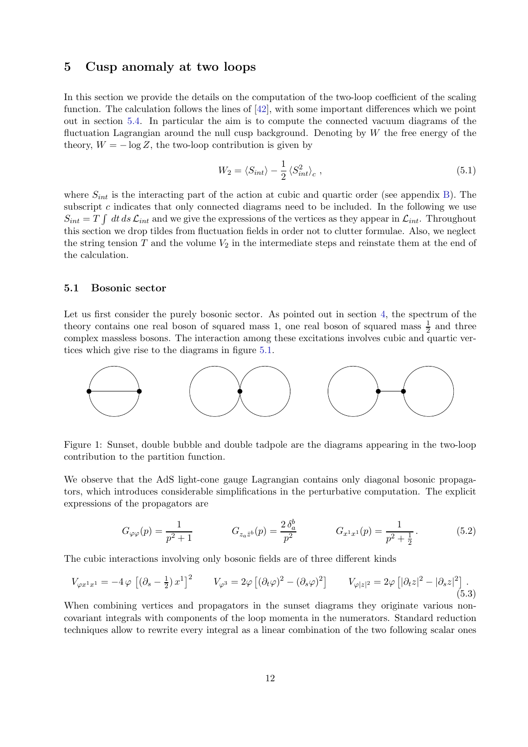#### <span id="page-12-0"></span>5 Cusp anomaly at two loops

In this section we provide the details on the computation of the two-loop coefficient of the scaling function. The calculation follows the lines of [\[42\]](#page-24-5), with some important differences which we point out in section [5.4.](#page-16-1) In particular the aim is to compute the connected vacuum diagrams of the fluctuation Lagrangian around the null cusp background. Denoting by  $W$  the free energy of the theory,  $W = -\log Z$ , the two-loop contribution is given by

$$
W_2 = \langle S_{int} \rangle - \frac{1}{2} \langle S_{int}^2 \rangle_c , \qquad (5.1)
$$

where  $S_{int}$  is the interacting part of the action at cubic and quartic order (see appendix [B\)](#page-21-0). The subscript c indicates that only connected diagrams need to be included. In the following we use  $S_{int} = T \int dt \, ds \, \mathcal{L}_{int}$  and we give the expressions of the vertices as they appear in  $\mathcal{L}_{int}$ . Throughout this section we drop tildes from fluctuation fields in order not to clutter formulae. Also, we neglect the string tension  $T$  and the volume  $V_2$  in the intermediate steps and reinstate them at the end of the calculation.

#### <span id="page-12-1"></span>5.1 Bosonic sector

Let us first consider the purely bosonic sector. As pointed out in section [4,](#page-11-0) the spectrum of the theory contains one real boson of squared mass 1, one real boson of squared mass  $\frac{1}{2}$  and three complex massless bosons. The interaction among these excitations involves cubic and quartic vertices which give rise to the diagrams in figure [5.1.](#page-12-1)



Figure 1: Sunset, double bubble and double tadpole are the diagrams appearing in the two-loop contribution to the partition function.

We observe that the AdS light-cone gauge Lagrangian contains only diagonal bosonic propagators, which introduces considerable simplifications in the perturbative computation. The explicit expressions of the propagators are

$$
G_{\varphi\varphi}(p) = \frac{1}{p^2 + 1} \qquad G_{z_a\bar{z}^b}(p) = \frac{2\,\delta_a^b}{p^2} \qquad G_{x^1x^1}(p) = \frac{1}{p^2 + \frac{1}{2}}. \tag{5.2}
$$

The cubic interactions involving only bosonic fields are of three different kinds

<span id="page-12-2"></span>
$$
V_{\varphi x^1 x^1} = -4 \varphi \left[ \left( \partial_s - \frac{1}{2} \right) x^1 \right]^2 \qquad V_{\varphi^3} = 2 \varphi \left[ \left( \partial_t \varphi \right)^2 - \left( \partial_s \varphi \right)^2 \right] \qquad V_{\varphi |z|^2} = 2 \varphi \left[ \left| \partial_t z \right|^2 - \left| \partial_s z \right|^2 \right]. \tag{5.3}
$$

When combining vertices and propagators in the sunset diagrams they originate various noncovariant integrals with components of the loop momenta in the numerators. Standard reduction techniques allow to rewrite every integral as a linear combination of the two following scalar ones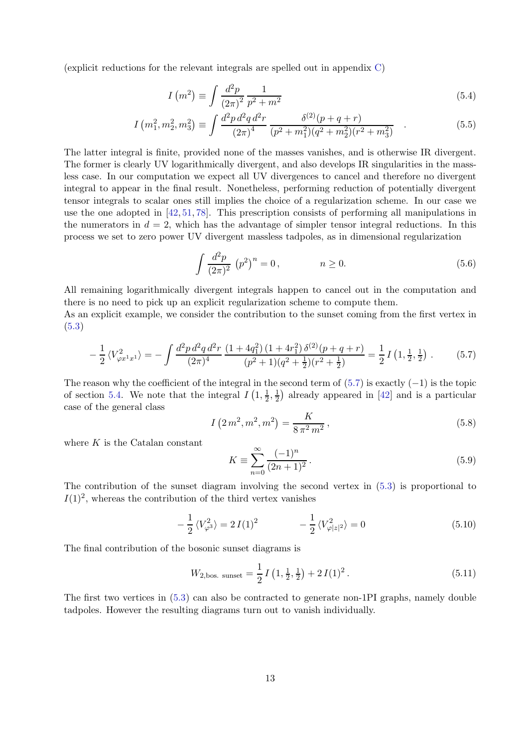(explicit reductions for the relevant integrals are spelled out in appendix [C\)](#page-21-1)

$$
I\left(m^{2}\right) \equiv \int \frac{d^{2}p}{\left(2\pi\right)^{2}} \frac{1}{p^{2} + m^{2}} \tag{5.4}
$$

$$
I\left(m_1^2, m_2^2, m_3^2\right) \equiv \int \frac{d^2p \, d^2q \, d^2r}{\left(2\pi\right)^4} \frac{\delta^{(2)}(p+q+r)}{(p^2+m_1^2)(q^2+m_2^2)(r^2+m_3^2)} \quad . \tag{5.5}
$$

The latter integral is finite, provided none of the masses vanishes, and is otherwise IR divergent. The former is clearly UV logarithmically divergent, and also develops IR singularities in the massless case. In our computation we expect all UV divergences to cancel and therefore no divergent integral to appear in the final result. Nonetheless, performing reduction of potentially divergent tensor integrals to scalar ones still implies the choice of a regularization scheme. In our case we use the one adopted in [\[42,](#page-24-5) [51,](#page-24-12) [78\]](#page-26-2). This prescription consists of performing all manipulations in the numerators in  $d = 2$ , which has the advantage of simpler tensor integral reductions. In this process we set to zero power UV divergent massless tadpoles, as in dimensional regularization

$$
\int \frac{d^2 p}{(2\pi)^2} (p^2)^n = 0, \qquad n \ge 0.
$$
\n(5.6)

All remaining logarithmically divergent integrals happen to cancel out in the computation and there is no need to pick up an explicit regularization scheme to compute them.

As an explicit example, we consider the contribution to the sunset coming from the first vertex in [\(5.3\)](#page-12-2)

<span id="page-13-0"></span>
$$
-\frac{1}{2}\langle V_{\varphi x^1 x^1}^2 \rangle = -\int \frac{d^2 p \, d^2 q \, d^2 r}{(2\pi)^4} \frac{(1+4q_1^2) \, (1+4r_1^2) \, \delta^{(2)}(p+q+r)}{(p^2+1)(q^2+\frac{1}{2})(r^2+\frac{1}{2})} = \frac{1}{2} I\left(1, \frac{1}{2}, \frac{1}{2}\right) \,. \tag{5.7}
$$

The reason why the coefficient of the integral in the second term of  $(5.7)$  is exactly  $(-1)$  is the topic of section [5.4.](#page-16-1) We note that the integral  $I(1, \frac{1}{2})$  $\frac{1}{2}, \frac{1}{2}$  $\frac{1}{2}$ ) already appeared in [\[42\]](#page-24-5) and is a particular case of the general class

<span id="page-13-2"></span>
$$
I\left(2m^2, m^2, m^2\right) = \frac{K}{8\pi^2 m^2},\tag{5.8}
$$

where  $K$  is the Catalan constant

$$
K \equiv \sum_{n=0}^{\infty} \frac{(-1)^n}{(2n+1)^2} \,. \tag{5.9}
$$

The contribution of the sunset diagram involving the second vertex in [\(5.3\)](#page-12-2) is proportional to  $I(1)^2$ , whereas the contribution of the third vertex vanishes

$$
-\frac{1}{2}\langle V_{\varphi^3}^2 \rangle = 2I(1)^2 \qquad -\frac{1}{2}\langle V_{\varphi|z|^2}^2 \rangle = 0 \qquad (5.10)
$$

The final contribution of the bosonic sunset diagrams is

<span id="page-13-1"></span>
$$
W_{2,\text{bos. sunset}} = \frac{1}{2} I\left(1, \frac{1}{2}, \frac{1}{2}\right) + 2 I(1)^2. \tag{5.11}
$$

The first two vertices in [\(5.3\)](#page-12-2) can also be contracted to generate non-1PI graphs, namely double tadpoles. However the resulting diagrams turn out to vanish individually.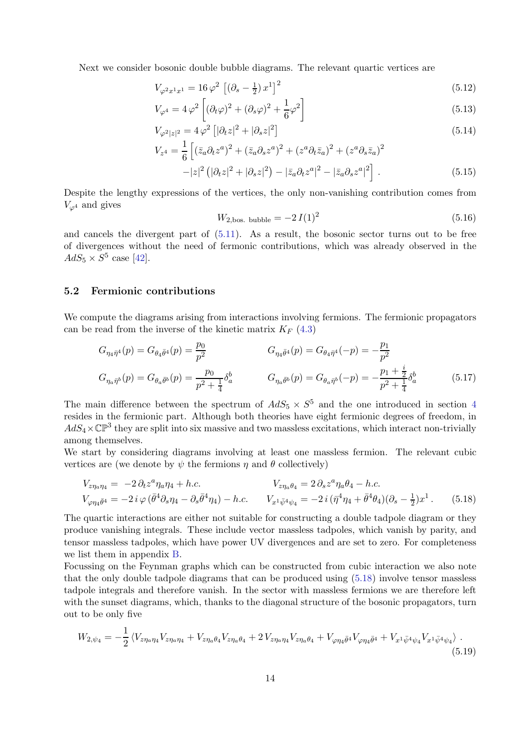Next we consider bosonic double bubble diagrams. The relevant quartic vertices are

$$
V_{\varphi^2 x^1 x^1} = 16 \varphi^2 \left[ \left( \partial_s - \frac{1}{2} \right) x^1 \right]^2 \tag{5.12}
$$

$$
V_{\varphi^4} = 4\varphi^2 \left[ (\partial_t \varphi)^2 + (\partial_s \varphi)^2 + \frac{1}{6} \varphi^2 \right]
$$
\n(5.13)

$$
V_{\varphi^2|z|^2} = 4\,\varphi^2 \left[|\partial_t z|^2 + |\partial_s z|^2\right] \tag{5.14}
$$

$$
V_{z^{4}} = \frac{1}{6} \left[ (\bar{z}_{a} \partial_{t} z^{a})^{2} + (\bar{z}_{a} \partial_{s} z^{a})^{2} + (z^{a} \partial_{t} \bar{z}_{a})^{2} + (z^{a} \partial_{s} \bar{z}_{a})^{2} - |z|^{2} (|\partial_{t} z|^{2} + |\partial_{s} z|^{2}) - |\bar{z}_{a} \partial_{t} z^{a}|^{2} - |\bar{z}_{a} \partial_{s} z^{a}|^{2} \right].
$$
\n(5.15)

Despite the lengthy expressions of the vertices, the only non-vanishing contribution comes from  $V_{\varphi^4}$  and gives

<span id="page-14-1"></span>
$$
W_{2,\text{bos. bubble}} = -2 I(1)^2 \tag{5.16}
$$

and cancels the divergent part of [\(5.11\)](#page-13-1). As a result, the bosonic sector turns out to be free of divergences without the need of fermonic contributions, which was already observed in the  $AdS_5 \times S^5$  case [\[42\]](#page-24-5).

#### <span id="page-14-0"></span>5.2 Fermionic contributions

We compute the diagrams arising from interactions involving fermions. The fermionic propagators can be read from the inverse of the kinetic matrix  $K_F$  [\(4.3\)](#page-11-1)

$$
G_{\eta_4 \bar{\eta}^4}(p) = G_{\theta_4 \bar{\theta}^4}(p) = \frac{p_0}{p^2} \qquad G_{\eta_4 \bar{\theta}^4}(p) = G_{\theta_4 \bar{\eta}^4}(-p) = -\frac{p_1}{p^2}
$$
  
\n
$$
G_{\eta_a \bar{\eta}^b}(p) = G_{\theta_a \bar{\theta}^b}(p) = \frac{p_0}{p^2 + \frac{1}{4}} \delta_a^b \qquad G_{\eta_a \bar{\theta}^b}(p) = G_{\theta_a \bar{\eta}^b}(-p) = -\frac{p_1 + \frac{i}{2}}{p^2 + \frac{1}{4}} \delta_a^b \qquad (5.17)
$$

The main difference between the spectrum of  $AdS_5 \times S^5$  and the one introduced in section [4](#page-11-0) resides in the fermionic part. Although both theories have eight fermionic degrees of freedom, in  $AdS_4\times\mathbb{CP}^3$  they are split into six massive and two massless excitations, which interact non-trivially among themselves.

We start by considering diagrams involving at least one massless fermion. The relevant cubic vertices are (we denote by  $\psi$  the fermions  $\eta$  and  $\theta$  collectively)

$$
V_{z\eta_a\eta_4} = -2 \partial_t z^a \eta_a \eta_4 + h.c.
$$
  
\n
$$
V_{z\eta_a\theta_4} = 2 \partial_s z^a \eta_a \theta_4 - h.c.
$$
  
\n
$$
V_{\varphi\eta_4\bar{\theta}^4} = -2 i \varphi (\bar{\theta}^4 \partial_s \eta_4 - \partial_s \bar{\theta}^4 \eta_4) - h.c.
$$
  
\n
$$
V_{x^1 \bar{\psi}^4 \psi_4} = -2 i (\bar{\eta}^4 \eta_4 + \bar{\theta}^4 \theta_4) (\partial_s - \frac{1}{2}) x^1.
$$
  
\n(5.18)

The quartic interactions are either not suitable for constructing a double tadpole diagram or they produce vanishing integrals. These include vector massless tadpoles, which vanish by parity, and tensor massless tadpoles, which have power UV divergences and are set to zero. For completeness we list them in appendix [B.](#page-21-0)

Focussing on the Feynman graphs which can be constructed from cubic interaction we also note that the only double tadpole diagrams that can be produced using [\(5.18\)](#page-14-1) involve tensor massless tadpole integrals and therefore vanish. In the sector with massless fermions we are therefore left with the sunset diagrams, which, thanks to the diagonal structure of the bosonic propagators, turn out to be only five

$$
W_{2,\psi_4} = -\frac{1}{2} \left\langle V_{z\eta_a\eta_4} V_{z\eta_a\eta_4} + V_{z\eta_a\theta_4} V_{z\eta_a\theta_4} + 2 V_{z\eta_a\eta_4} V_{z\eta_a\theta_4} + V_{\varphi\eta_4\bar{\theta}^4} V_{\varphi\eta_4\bar{\theta}^4} + V_{x^1\bar{\psi}^4\psi_4} V_{x^1\bar{\psi}^4\psi_4} \right\rangle. \tag{5.19}
$$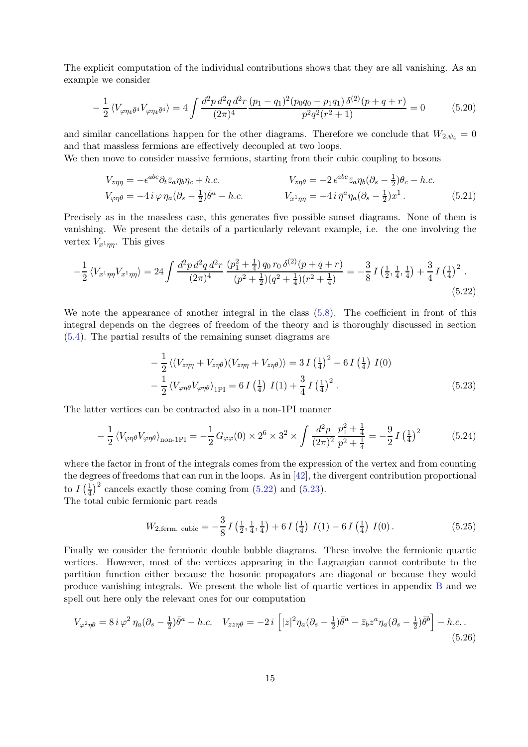The explicit computation of the individual contributions shows that they are all vanishing. As an example we consider

$$
-\frac{1}{2}\left\langle V_{\varphi\eta_4\bar{\theta}^4}V_{\varphi\eta_4\bar{\theta}^4}\right\rangle = 4\int \frac{d^2p \,d^2q \,d^2r}{(2\pi)^4} \frac{(p_1-q_1)^2(p_0q_0-p_1q_1)\,\delta^{(2)}(p+q+r)}{p^2q^2(r^2+1)} = 0\tag{5.20}
$$

and similar cancellations happen for the other diagrams. Therefore we conclude that  $W_{2,\psi_4} = 0$ and that massless fermions are effectively decoupled at two loops.

We then move to consider massive fermions, starting from their cubic coupling to bosons

$$
V_{z\eta\eta} = -\epsilon^{abc}\partial_t\bar{z}_a\eta_b\eta_c + h.c.
$$
  
\n
$$
V_{z\eta\theta} = -2\epsilon^{abc}\bar{z}_a\eta_b(\partial_s - \frac{1}{2})\theta_c - h.c.
$$
  
\n
$$
V_{\varphi\eta\theta} = -4i\varphi\eta_a(\partial_s - \frac{1}{2})\bar{\theta}^a - h.c.
$$
  
\n
$$
V_{x^1\eta\eta} = -4i\bar{\eta}^a\eta_a(\partial_s - \frac{1}{2})x^1.
$$
\n(5.21)

Precisely as in the massless case, this generates five possible sunset diagrams. None of them is vanishing. We present the details of a particularly relevant example, i.e. the one involving the vertex  $V_{x^1\eta\eta}$ . This gives

$$
-\frac{1}{2}\left\langle V_{x^1\eta\eta}V_{x^1\eta\eta}\right\rangle = 24\int \frac{d^2p\,d^2q\,d^2r}{(2\pi)^4} \frac{(p_1^2 + \frac{1}{4})q_0\,r_0\,\delta^{(2)}(p+q+r)}{(p^2 + \frac{1}{2})(q^2 + \frac{1}{4})(r^2 + \frac{1}{4})} = -\frac{3}{8}I\left(\frac{1}{2}, \frac{1}{4}, \frac{1}{4}\right) + \frac{3}{4}I\left(\frac{1}{4}\right)^2.
$$
\n(5.22)

We note the appearance of another integral in the class  $(5.8)$ . The coefficient in front of this integral depends on the degrees of freedom of the theory and is thoroughly discussed in section [\(5.4\)](#page-16-1). The partial results of the remaining sunset diagrams are

<span id="page-15-1"></span><span id="page-15-0"></span>
$$
-\frac{1}{2}\left\langle (V_{z\eta\eta} + V_{z\eta\theta})(V_{z\eta\eta} + V_{z\eta\theta}) \right\rangle = 3I\left(\frac{1}{4}\right)^2 - 6I\left(\frac{1}{4}\right)I(0) -\frac{1}{2}\left\langle V_{\varphi\eta\theta}V_{\varphi\eta\theta} \right\rangle_{1\text{PI}} = 6I\left(\frac{1}{4}\right)I(1) + \frac{3}{4}I\left(\frac{1}{4}\right)^2.
$$
 (5.23)

The latter vertices can be contracted also in a non-1PI manner

$$
-\frac{1}{2}\left\langle V_{\varphi\eta\theta}V_{\varphi\eta\theta}\right\rangle_{\text{non-1PI}} = -\frac{1}{2}G_{\varphi\varphi}(0) \times 2^6 \times 3^2 \times \int \frac{d^2p}{(2\pi)^2} \frac{p_1^2 + \frac{1}{4}}{p^2 + \frac{1}{4}} = -\frac{9}{2}I\left(\frac{1}{4}\right)^2\tag{5.24}
$$

where the factor in front of the integrals comes from the expression of the vertex and from counting the degrees of freedoms that can run in the loops. As in [\[42\]](#page-24-5), the divergent contribution proportional to  $I\left(\frac{1}{4}\right)$  $\frac{1}{4}$ )<sup>2</sup> cancels exactly those coming from [\(5.22\)](#page-15-0) and [\(5.23\)](#page-15-1). The total cubic fermionic part reads

$$
W_{2,\text{ferm. cubic}} = -\frac{3}{8} I\left(\frac{1}{2}, \frac{1}{4}, \frac{1}{4}\right) + 6 I\left(\frac{1}{4}\right) I(1) - 6 I\left(\frac{1}{4}\right) I(0). \tag{5.25}
$$

Finally we consider the fermionic double bubble diagrams. These involve the fermionic quartic vertices. However, most of the vertices appearing in the Lagrangian cannot contribute to the partition function either because the bosonic propagators are diagonal or because they would produce vanishing integrals. We present the whole list of quartic vertices in appendix [B](#page-21-0) and we spell out here only the relevant ones for our computation

$$
V_{\varphi^2 \eta \theta} = 8 i \varphi^2 \eta_a (\partial_s - \frac{1}{2}) \bar{\theta}^a - h.c. \quad V_{zz \eta \theta} = -2 i \left[ |z|^2 \eta_a (\partial_s - \frac{1}{2}) \bar{\theta}^a - \bar{z}_b z^a \eta_a (\partial_s - \frac{1}{2}) \bar{\theta}^b \right] - h.c. \tag{5.26}
$$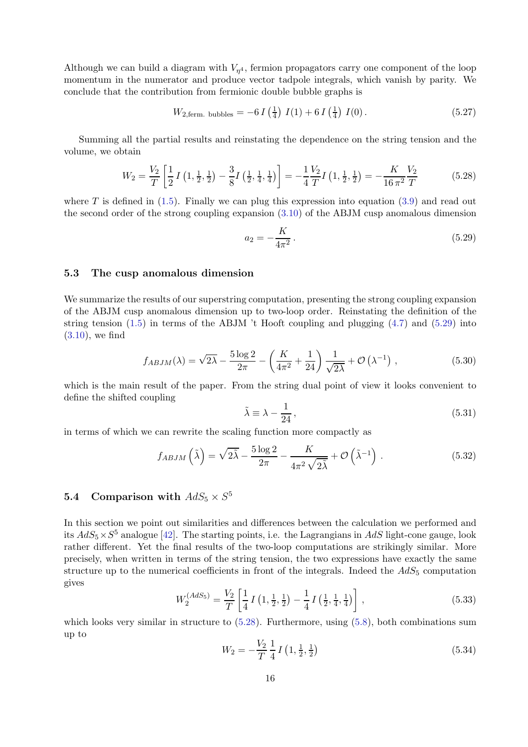Although we can build a diagram with  $V_{\eta^4}$ , fermion propagators carry one component of the loop momentum in the numerator and produce vector tadpole integrals, which vanish by parity. We conclude that the contribution from fermionic double bubble graphs is

$$
W_{2, \text{ferm. bubbles}} = -6 I \left(\frac{1}{4}\right) I(1) + 6 I \left(\frac{1}{4}\right) I(0). \tag{5.27}
$$

Summing all the partial results and reinstating the dependence on the string tension and the volume, we obtain

<span id="page-16-3"></span>
$$
W_2 = \frac{V_2}{T} \left[ \frac{1}{2} I \left( 1, \frac{1}{2}, \frac{1}{2} \right) - \frac{3}{8} I \left( \frac{1}{2}, \frac{1}{4}, \frac{1}{4} \right) \right] = -\frac{1}{4} \frac{V_2}{T} I \left( 1, \frac{1}{2}, \frac{1}{2} \right) = -\frac{K}{16 \pi^2} \frac{V_2}{T}
$$
(5.28)

where T is defined in  $(1.5)$ . Finally we can plug this expression into equation  $(3.9)$  and read out the second order of the strong coupling expansion [\(3.10\)](#page-10-6) of the ABJM cusp anomalous dimension

<span id="page-16-2"></span>
$$
a_2 = -\frac{K}{4\pi^2} \,. \tag{5.29}
$$

#### <span id="page-16-0"></span>5.3 The cusp anomalous dimension

We summarize the results of our superstring computation, presenting the strong coupling expansion of the ABJM cusp anomalous dimension up to two-loop order. Reinstating the definition of the string tension  $(1.5)$  in terms of the ABJM 't Hooft coupling and plugging  $(4.7)$  and  $(5.29)$  into [\(3.10\)](#page-10-6), we find

$$
f_{ABJM}(\lambda) = \sqrt{2\lambda} - \frac{5\log 2}{2\pi} - \left(\frac{K}{4\pi^2} + \frac{1}{24}\right)\frac{1}{\sqrt{2\lambda}} + \mathcal{O}\left(\lambda^{-1}\right) ,\qquad (5.30)
$$

which is the main result of the paper. From the string dual point of view it looks convenient to define the shifted coupling

$$
\tilde{\lambda} \equiv \lambda - \frac{1}{24},\tag{5.31}
$$

in terms of which we can rewrite the scaling function more compactly as

$$
f_{ABJM}\left(\tilde{\lambda}\right) = \sqrt{2\tilde{\lambda}} - \frac{5\log 2}{2\pi} - \frac{K}{4\pi^2\sqrt{2\tilde{\lambda}}} + \mathcal{O}\left(\tilde{\lambda}^{-1}\right). \tag{5.32}
$$

# <span id="page-16-1"></span>**5.4** Comparison with  $AdS_5 \times S^5$

In this section we point out similarities and differences between the calculation we performed and its  $AdS_5 \times S^5$  analogue [\[42\]](#page-24-5). The starting points, i.e. the Lagrangians in  $AdS$  light-cone gauge, look rather different. Yet the final results of the two-loop computations are strikingly similar. More precisely, when written in terms of the string tension, the two expressions have exactly the same structure up to the numerical coefficients in front of the integrals. Indeed the  $AdS_5$  computation gives

<span id="page-16-4"></span>
$$
W_2^{(AdS_5)} = \frac{V_2}{T} \left[ \frac{1}{4} I \left( 1, \frac{1}{2}, \frac{1}{2} \right) - \frac{1}{4} I \left( \frac{1}{2}, \frac{1}{4}, \frac{1}{4} \right) \right],
$$
\n(5.33)

which looks very similar in structure to [\(5.28\)](#page-16-3). Furthermore, using [\(5.8\)](#page-13-2), both combinations sum up to

$$
W_2 = -\frac{V_2}{T} \frac{1}{4} I\left(1, \frac{1}{2}, \frac{1}{2}\right) \tag{5.34}
$$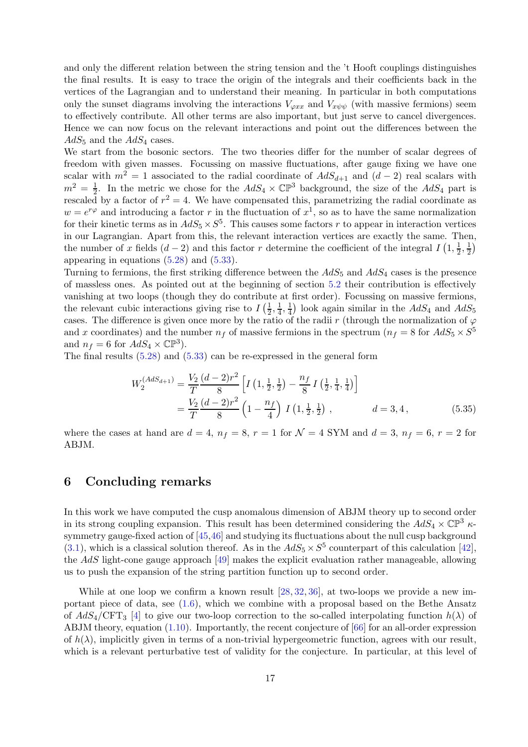and only the different relation between the string tension and the 't Hooft couplings distinguishes the final results. It is easy to trace the origin of the integrals and their coefficients back in the vertices of the Lagrangian and to understand their meaning. In particular in both computations only the sunset diagrams involving the interactions  $V_{\varphi xx}$  and  $V_{x\psi\psi}$  (with massive fermions) seem to effectively contribute. All other terms are also important, but just serve to cancel divergences. Hence we can now focus on the relevant interactions and point out the differences between the  $AdS_5$  and the  $AdS_4$  cases.

We start from the bosonic sectors. The two theories differ for the number of scalar degrees of freedom with given masses. Focussing on massive fluctuations, after gauge fixing we have one scalar with  $m^2 = 1$  associated to the radial coordinate of  $AdS_{d+1}$  and  $(d-2)$  real scalars with  $m^2 = \frac{1}{2}$  $\frac{1}{2}$ . In the metric we chose for the  $AdS_4 \times \mathbb{CP}^3$  background, the size of the  $AdS_4$  part is rescaled by a factor of  $r^2 = 4$ . We have compensated this, parametrizing the radial coordinate as  $w = e^{r\varphi}$  and introducing a factor r in the fluctuation of  $x^1$ , so as to have the same normalization for their kinetic terms as in  $AdS_5 \times S^5$ . This causes some factors r to appear in interaction vertices in our Lagrangian. Apart from this, the relevant interaction vertices are exactly the same. Then, the number of x fields  $(d-2)$  and this factor r determine the coefficient of the integral  $I(1, \frac{1}{2})$  $\frac{1}{2}, \frac{1}{2}$  $\frac{1}{2}$ appearing in equations [\(5.28\)](#page-16-3) and [\(5.33\)](#page-16-4).

Turning to fermions, the first striking difference between the  $AdS_5$  and  $AdS_4$  cases is the presence of massless ones. As pointed out at the beginning of section [5.2](#page-14-0) their contribution is effectively vanishing at two loops (though they do contribute at first order). Focussing on massive fermions, the relevant cubic interactions giving rise to  $I\left(\frac{1}{2}\right)$  $\frac{1}{2}, \frac{1}{4}$  $\frac{1}{4}, \frac{1}{4}$  $\frac{1}{4}$ ) look again similar in the  $AdS_4$  and  $AdS_5$ cases. The difference is given once more by the ratio of the radii r (through the normalization of  $\varphi$ and x coordinates) and the number  $n_f$  of massive fermions in the spectrum ( $n_f = 8$  for  $AdS_5 \times S^5$ and  $n_f = 6$  for  $AdS_4 \times \mathbb{CP}^3$ .

The final results [\(5.28\)](#page-16-3) and [\(5.33\)](#page-16-4) can be re-expressed in the general form

$$
W_2^{(AdS_{d+1})} = \frac{V_2}{T} \frac{(d-2)r^2}{8} \left[ I\left(1, \frac{1}{2}, \frac{1}{2}\right) - \frac{n_f}{8} I\left(\frac{1}{2}, \frac{1}{4}, \frac{1}{4}\right) \right]
$$
  
=  $\frac{V_2}{T} \frac{(d-2)r^2}{8} \left(1 - \frac{n_f}{4}\right) I\left(1, \frac{1}{2}, \frac{1}{2}\right), \qquad d = 3, 4,$  (5.35)

where the cases at hand are  $d = 4$ ,  $n_f = 8$ ,  $r = 1$  for  $\mathcal{N} = 4$  SYM and  $d = 3$ ,  $n_f = 6$ ,  $r = 2$  for ABJM.

# <span id="page-17-0"></span>6 Concluding remarks

In this work we have computed the cusp anomalous dimension of ABJM theory up to second order in its strong coupling expansion. This result has been determined considering the  $AdS_4 \times \mathbb{CP}^3$   $\kappa$ symmetry gauge-fixed action of [\[45,](#page-24-7)[46\]](#page-24-8) and studying its fluctuations about the null cusp background [\(3.1\)](#page-9-3), which is a classical solution thereof. As in the  $AdS_5 \times S^5$  counterpart of this calculation [\[42\]](#page-24-5), the AdS light-cone gauge approach [\[49\]](#page-24-10) makes the explicit evaluation rather manageable, allowing us to push the expansion of the string partition function up to second order.

While at one loop we confirm a known result [\[28,](#page-23-18) [32,](#page-24-15) [36\]](#page-24-16), at two-loops we provide a new important piece of data, see [\(1.6\)](#page-5-2), which we combine with a proposal based on the Bethe Ansatz of  $AdS_4/\text{CFT}_3$  [\[4\]](#page-22-3) to give our two-loop correction to the so-called interpolating function  $h(\lambda)$  of ABJM theory, equation [\(1.10\)](#page-6-2). Importantly, the recent conjecture of [\[66\]](#page-25-11) for an all-order expression of  $h(\lambda)$ , implicitly given in terms of a non-trivial hypergeometric function, agrees with our result, which is a relevant perturbative test of validity for the conjecture. In particular, at this level of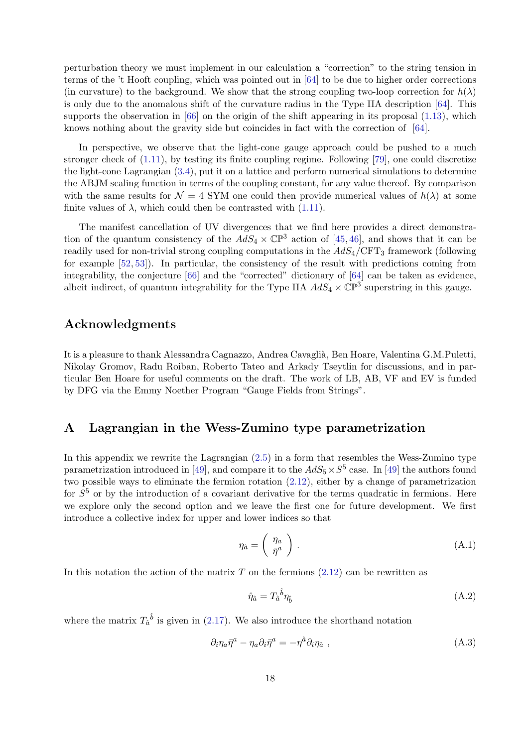perturbation theory we must implement in our calculation a "correction" to the string tension in terms of the 't Hooft coupling, which was pointed out in [\[64\]](#page-25-6) to be due to higher order corrections (in curvature) to the background. We show that the strong coupling two-loop correction for  $h(\lambda)$ is only due to the anomalous shift of the curvature radius in the Type IIA description [\[64\]](#page-25-6). This supports the observation in  $[66]$  on the origin of the shift appearing in its proposal  $(1.13)$ , which knows nothing about the gravity side but coincides in fact with the correction of [\[64\]](#page-25-6).

In perspective, we observe that the light-cone gauge approach could be pushed to a much stronger check of [\(1.11\)](#page-6-3), by testing its finite coupling regime. Following [\[79\]](#page-26-3), one could discretize the light-cone Lagrangian [\(3.4\)](#page-10-4), put it on a lattice and perform numerical simulations to determine the ABJM scaling function in terms of the coupling constant, for any value thereof. By comparison with the same results for  $\mathcal{N} = 4$  SYM one could then provide numerical values of  $h(\lambda)$  at some finite values of  $\lambda$ , which could then be contrasted with [\(1.11\)](#page-6-3).

The manifest cancellation of UV divergences that we find here provides a direct demonstration of the quantum consistency of the  $AdS_4 \times \mathbb{CP}^3$  action of [\[45,](#page-24-7) [46\]](#page-24-8), and shows that it can be readily used for non-trivial strong coupling computations in the  $AdS_4/CFT_3$  framework (following for example [\[52,](#page-25-19) [53\]](#page-25-0)). In particular, the consistency of the result with predictions coming from integrability, the conjecture [\[66\]](#page-25-11) and the "corrected" dictionary of [\[64\]](#page-25-6) can be taken as evidence, albeit indirect, of quantum integrability for the Type IIA  $AdS_4 \times \mathbb{CP}^3$  superstring in this gauge.

# Acknowledgments

It is a pleasure to thank Alessandra Cagnazzo, Andrea Cavaglià, Ben Hoare, Valentina G.M.Puletti, Nikolay Gromov, Radu Roiban, Roberto Tateo and Arkady Tseytlin for discussions, and in particular Ben Hoare for useful comments on the draft. The work of LB, AB, VF and EV is funded by DFG via the Emmy Noether Program "Gauge Fields from Strings".

## <span id="page-18-0"></span>A Lagrangian in the Wess-Zumino type parametrization

In this appendix we rewrite the Lagrangian [\(2.5\)](#page-7-4) in a form that resembles the Wess-Zumino type parametrization introduced in [\[49\]](#page-24-10), and compare it to the  $AdS_5 \times S^5$  case. In [49] the authors found two possible ways to eliminate the fermion rotation [\(2.12\)](#page-8-1), either by a change of parametrization for  $S<sup>5</sup>$  or by the introduction of a covariant derivative for the terms quadratic in fermions. Here we explore only the second option and we leave the first one for future development. We first introduce a collective index for upper and lower indices so that

$$
\eta_{\hat{a}} = \left(\begin{array}{c} \eta_a \\ \bar{\eta}^a \end{array}\right) . \tag{A.1}
$$

In this notation the action of the matrix  $T$  on the fermions  $(2.12)$  can be rewritten as

$$
\hat{\eta}_\hat{a} = T_a{}^{\hat{b}} \eta_\hat{b} \tag{A.2}
$$

where the matrix  $T_{\hat{a}}{}^{\hat{b}}$  is given in [\(2.17\)](#page-9-5). We also introduce the shorthand notation

$$
\partial_i \eta_a \bar{\eta}^a - \eta_a \partial_i \bar{\eta}^a = -\eta^{\hat{a}} \partial_i \eta_{\hat{a}} , \qquad (A.3)
$$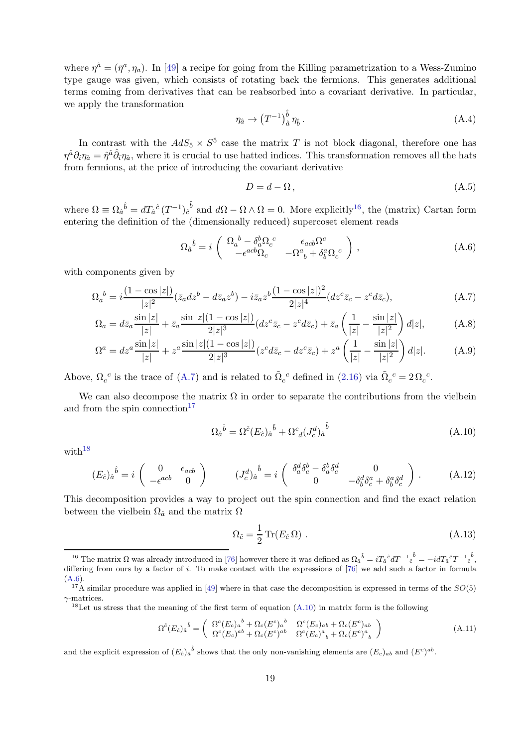where  $\eta^{\hat{a}} = (\bar{\eta}^a, \eta_a)$ . In [\[49\]](#page-24-10) a recipe for going from the Killing parametrization to a Wess-Zumino type gauge was given, which consists of rotating back the fermions. This generates additional terms coming from derivatives that can be reabsorbed into a covariant derivative. In particular, we apply the transformation

$$
\eta_{\hat{a}} \to \left(T^{-1}\right)^{\hat{b}}_{\hat{a}} \eta_{\hat{b}}\,. \tag{A.4}
$$

In contrast with the  $AdS_5 \times S^5$  case the matrix T is not block diagonal, therefore one has  $\eta^{\hat{a}}\partial_i\eta_{\hat{a}}=\hat{\eta}^{\hat{a}}\hat{\partial}_i\eta_{\hat{a}}$ , where it is crucial to use hatted indices. This transformation removes all the hats from fermions, at the price of introducing the covariant derivative

<span id="page-19-0"></span>
$$
D = d - \Omega, \tag{A.5}
$$

where  $\Omega \equiv \Omega_{\hat{a}}{}^{\hat{b}} = dT_{\hat{a}}{}^{\hat{c}} (T^{-1})_{\hat{c}}{}^{\hat{b}}$  and  $d\Omega - \Omega \wedge \Omega = 0$ . More explicitly<sup>[16](#page-19-1)</sup>, the (matrix) Cartan form entering the definition of the (dimensionally reduced) supercoset element reads

<span id="page-19-4"></span>
$$
\Omega_a^{\ \hat{b}} = i \begin{pmatrix} \Omega_a^{\ b} - \delta_a^b \Omega_c^{\ c} & \epsilon_{acb} \Omega_c^c \\ -\epsilon^{acb} \Omega_c & -\Omega_a^a + \delta_b^a \Omega_c^{\ c} \end{pmatrix},
$$
\n(A.6)

with components given by

$$
\Omega_a{}^b = i \frac{(1 - \cos|z|)}{|z|^2} (\bar{z}_a dz^b - d\bar{z}_a z^b) - i \bar{z}_a z^b \frac{(1 - \cos|z|)^2}{2|z|^4} (dz^c \bar{z}_c - z^c d\bar{z}_c),\tag{A.7}
$$

$$
\Omega_a = dz_a \frac{\sin|z|}{|z|} + \bar{z}_a \frac{\sin|z|(1 - \cos|z|)}{2|z|^3} (dz^c \bar{z}_c - z^c d\bar{z}_c) + \bar{z}_a \left(\frac{1}{|z|} - \frac{\sin|z|}{|z|^2}\right) d|z|,\tag{A.8}
$$

$$
\Omega^{a} = dz^{a} \frac{\sin|z|}{|z|} + z^{a} \frac{\sin|z|(1 - \cos|z|)}{2|z|^{3}} (z^{c} d\bar{z}_{c} - dz^{c} \bar{z}_{c}) + z^{a} \left(\frac{1}{|z|} - \frac{\sin|z|}{|z|^{2}}\right) d|z|.
$$
 (A.9)

Above,  $\Omega_c^c$  is the trace of [\(A.7\)](#page-19-0) and is related to  $\tilde{\Omega}_c^c$  defined in [\(2.16\)](#page-9-6) via  $\tilde{\Omega}_c^c = 2\Omega_c^c$ .

We can also decompose the matrix  $\Omega$  in order to separate the contributions from the vielbein and from the spin connection $17$ 

<span id="page-19-5"></span>
$$
\Omega_{\hat{a}}{}^{\hat{b}} = \Omega^{\hat{c}}(E_{\hat{c}})_{\hat{a}}{}^{\hat{b}} + \Omega^c{}_d(J_c^d)_{\hat{a}}{}^{\hat{b}} \tag{A.10}
$$

with $18$ 

$$
(E_{\hat{c}})_{\hat{a}}{}^{\hat{b}} = i \begin{pmatrix} 0 & \epsilon_{acb} \\ -\epsilon^{acb} & 0 \end{pmatrix} \qquad (J_c^d)_{\hat{a}}{}^{\hat{b}} = i \begin{pmatrix} \delta_a^d \delta_c^b - \delta_a^b \delta_c^d & 0 \\ 0 & -\delta_b^d \delta_c^a + \delta_b^a \delta_c^d \end{pmatrix} . \tag{A.12}
$$

This decomposition provides a way to project out the spin connection and find the exact relation between the vielbein  $\Omega_{\hat{a}}$  and the matrix  $\Omega$ 

$$
\Omega_{\hat{c}} = \frac{1}{2} \operatorname{Tr}(E_{\hat{c}} \Omega) \tag{A.13}
$$

$$
\Omega^{\hat{c}}(E_{\hat{c}})_{\hat{a}}{}^{\hat{b}} = \begin{pmatrix} \Omega^{c}(E_{c})_{a}{}^{b} + \Omega_{c}(E^{c})_{a}{}^{b} & \Omega^{c}(E_{c})_{ab} + \Omega_{c}(E^{c})_{ab} \\ \Omega^{c}(E_{c})^{ab} + \Omega_{c}(E^{c})^{ab} & \Omega^{c}(E_{c})^{a}{}_{b} + \Omega_{c}(E^{c})^{a}{}_{b} \end{pmatrix}
$$
\n(A.11)

and the explicit expression of  $(E_{\hat{c}})_{\hat{a}}{}^{\hat{b}}$  shows that the only non-vanishing elements are  $(E_c)_{ab}$  and  $(E^c)^{ab}$ .

<span id="page-19-1"></span><sup>&</sup>lt;sup>16</sup> The matrix  $\Omega$  was already introduced in [\[76\]](#page-26-0) however there it was defined as  $\Omega_{\hat{a}}{}^{\hat{b}} = iT_{\hat{a}}{}^{\hat{c}}dT^{-1}{}_{\hat{c}}{}^{\hat{b}} = -idT_{\hat{a}}{}^{\hat{c}}T^{-1}{}_{\hat{c}}{}^{\hat{b}}$ , differing from ours by a factor of i. To make contact with the expressions of  $[76]$  we add such a factor in formula [\(A.6\)](#page-19-4).

<sup>&</sup>lt;sup>17</sup>A similar procedure was applied in [\[49\]](#page-24-10) where in that case the decomposition is expressed in terms of the  $SO(5)$  $\gamma$ -matrices.

<span id="page-19-3"></span><span id="page-19-2"></span><sup>&</sup>lt;sup>18</sup>Let us stress that the meaning of the first term of equation  $(A.10)$  in matrix form is the following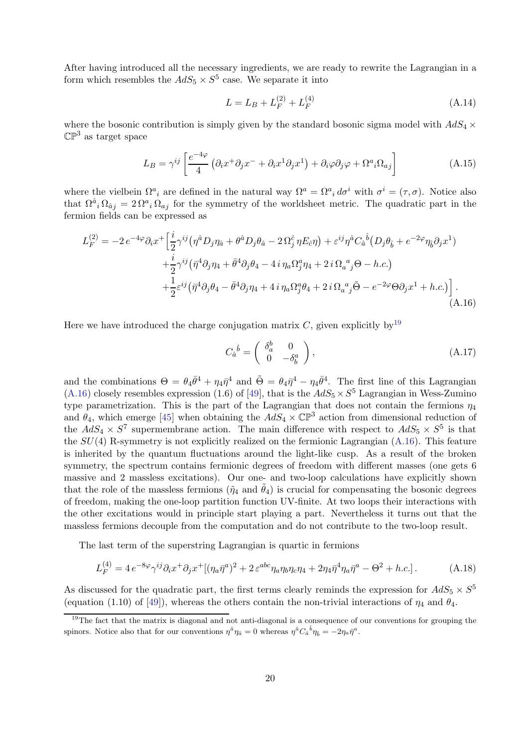After having introduced all the necessary ingredients, we are ready to rewrite the Lagrangian in a form which resembles the  $AdS_5 \times S^5$  case. We separate it into

$$
L = L_B + L_F^{(2)} + L_F^{(4)} \tag{A.14}
$$

where the bosonic contribution is simply given by the standard bosonic sigma model with  $AdS_4 \times$  $\mathbb{CP}^3$  as target space

$$
L_B = \gamma^{ij} \left[ \frac{e^{-4\varphi}}{4} \left( \partial_i x^+ \partial_j x^- + \partial_i x^1 \partial_j x^1 \right) + \partial_i \varphi \partial_j \varphi + \Omega^a{}_i \Omega_{aj} \right]
$$
(A.15)

where the vielbein  $\Omega^a{}_i$  are defined in the natural way  $\Omega^a = \Omega^a{}_i d\sigma^i$  with  $\sigma^i = (\tau, \sigma)$ . Notice also that  $\Omega^{\hat{a}}{}_i \Omega_{\hat{a}}{}_j = 2 \Omega^a{}_i \Omega_{aj}$  for the symmetry of the worldsheet metric. The quadratic part in the fermion fields can be expressed as

$$
L_F^{(2)} = -2e^{-4\varphi}\partial_i x^+ \Big[\frac{i}{2}\gamma^{ij}(\eta^{\hat{a}}D_j\eta_{\hat{a}} + \theta^{\hat{a}}D_j\theta_{\hat{a}} - 2\Omega_j^{\hat{c}}\eta E_{\hat{c}}\eta) + \varepsilon^{ij}\eta^{\hat{a}}C_{\hat{a}}{}^{\hat{b}}(D_j\theta_{\hat{b}} + e^{-2\varphi}\eta_{\hat{b}}\partial_j x^1) + \frac{i}{2}\gamma^{ij}(\bar{\eta}^4\partial_j\eta_4 + \bar{\theta}^4\partial_j\theta_4 - 4i\eta_a\Omega_j^a\eta_4 + 2i\Omega_a{}^a{}_j\Theta - h.c.) + \frac{1}{2}\varepsilon^{ij}(\bar{\eta}^4\partial_j\theta_4 - \bar{\theta}^4\partial_j\eta_4 + 4i\eta_a\Omega_j^a\theta_4 + 2i\Omega_a{}^a{}_j\tilde{\Theta} - e^{-2\varphi}\Theta\partial_j x^1 + h.c.)\Big].
$$
\n(A.16)

Here we have introduced the charge conjugation matrix C, given explicitly by<sup>[19](#page-20-0)</sup>

<span id="page-20-1"></span>
$$
C_{\hat{a}}{}^{\hat{b}} = \begin{pmatrix} \delta_a^b & 0 \\ 0 & -\delta_b^a \end{pmatrix}, \tag{A.17}
$$

and the combinations  $\Theta = \theta_4 \bar{\theta}^4 + \eta_4 \bar{\eta}^4$  and  $\tilde{\Theta} = \theta_4 \bar{\eta}^4 - \eta_4 \bar{\theta}^4$ . The first line of this Lagrangian  $(A.16)$  closely resembles expression (1.6) of [\[49\]](#page-24-10), that is the  $AdS_5 \times S^5$  Lagrangian in Wess-Zumino type parametrization. This is the part of the Lagrangian that does not contain the fermions  $\eta_4$ and  $\theta_4$ , which emerge [\[45\]](#page-24-7) when obtaining the  $AdS_4 \times \mathbb{CP}^3$  action from dimensional reduction of the  $AdS_4 \times S^7$  supermembrane action. The main difference with respect to  $AdS_5 \times S^5$  is that the  $SU(4)$  R-symmetry is not explicitly realized on the fermionic Lagrangian  $(A.16)$ . This feature is inherited by the quantum fluctuations around the light-like cusp. As a result of the broken symmetry, the spectrum contains fermionic degrees of freedom with different masses (one gets 6 massive and 2 massless excitations). Our one- and two-loop calculations have explicitly shown that the role of the massless fermions ( $\tilde{\eta}_4$  and  $\tilde{\theta}_4$ ) is crucial for compensating the bosonic degrees of freedom, making the one-loop partition function UV-finite. At two loops their interactions with the other excitations would in principle start playing a part. Nevertheless it turns out that the massless fermions decouple from the computation and do not contribute to the two-loop result.

The last term of the superstring Lagrangian is quartic in fermions

$$
L_F^{(4)} = 4 e^{-8\varphi} \gamma^{ij} \partial_i x^+ \partial_j x^+ [(\eta_a \bar{\eta}^a)^2 + 2 \varepsilon^{abc} \eta_a \eta_b \eta_c \eta_4 + 2 \eta_4 \bar{\eta}^4 \eta_a \bar{\eta}^a - \Theta^2 + h.c.]. \tag{A.18}
$$

As discussed for the quadratic part, the first terms clearly reminds the expression for  $AdS_5 \times S^5$ (equation (1.10) of [\[49\]](#page-24-10)), whereas the others contain the non-trivial interactions of  $\eta_4$  and  $\theta_4$ .

<span id="page-20-0"></span> $19$ The fact that the matrix is diagonal and not anti-diagonal is a consequence of our conventions for grouping the spinors. Notice also that for our conventions  $\eta^{\hat{a}}\eta_{\hat{a}}=0$  whereas  $\eta^{\hat{a}}C_{\hat{a}}{}^{\hat{b}}\eta_{\hat{b}}=-2\eta_a\bar{\eta}^a$ .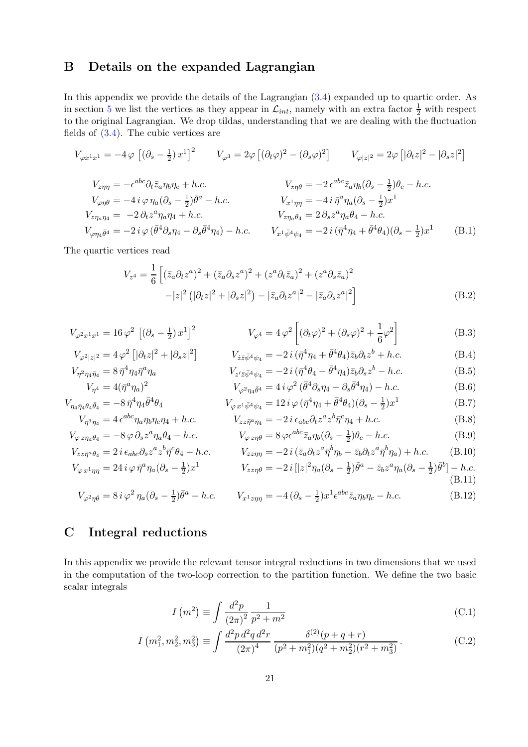# <span id="page-21-0"></span>B Details on the expanded Lagrangian

In this appendix we provide the details of the Lagrangian [\(3.4\)](#page-10-4) expanded up to quartic order. As in section [5](#page-12-0) we list the vertices as they appear in  $\mathcal{L}_{int}$ , namely with an extra factor  $\frac{1}{2}$  with respect to the original Lagrangian. We drop tildas, understanding that we are dealing with the fluctuation fields of [\(3.4\)](#page-10-4). The cubic vertices are

$$
V_{\varphi x^{1}x^{1}} = -4 \varphi \left[ (\partial_{s} - \frac{1}{2}) x^{1} \right]^{2} \qquad V_{\varphi^{3}} = 2 \varphi \left[ (\partial_{t} \varphi)^{2} - (\partial_{s} \varphi)^{2} \right] \qquad V_{\varphi |z|^{2}} = 2 \varphi \left[ |\partial_{t} z|^{2} - |\partial_{s} z|^{2} \right]
$$
  
\n
$$
V_{z\eta\eta} = -\epsilon^{abc} \partial_{t} \bar{z}_{a} \eta_{b} \eta_{c} + h.c.
$$
  
\n
$$
V_{\varphi\eta\theta} = -4 i \varphi \eta_{a} (\partial_{s} - \frac{1}{2}) \bar{\theta}^{a} - h.c.
$$
  
\n
$$
V_{x\eta} = -2 \epsilon^{abc} \bar{z}_{a} \eta_{b} (\partial_{s} - \frac{1}{2}) \theta_{c} - h.c.
$$
  
\n
$$
V_{z\eta\eta\theta} = -4 i \bar{\eta}^{a} \eta_{a} (\partial_{s} - \frac{1}{2}) x^{1}
$$
  
\n
$$
V_{z\eta\eta a} \eta_{4} = -2 \partial_{t} z^{a} \eta_{a} \eta_{4} + h.c.
$$
  
\n
$$
V_{\varphi\eta a} \bar{\theta}^{4} = -2 i \varphi (\bar{\theta}^{4} \partial_{s} \eta_{4} - \partial_{s} \bar{\theta}^{4} \eta_{4}) - h.c.
$$
  
\n
$$
V_{x1} \bar{\psi}^{4} \psi_{4} = -2 i (\bar{\eta}^{4} \eta_{4} + \bar{\theta}^{4} \theta_{4}) (\partial_{s} - \frac{1}{2}) x^{1}
$$
  
\n(B.1)

The quartic vertices read

$$
V_{z^{4}} = \frac{1}{6} \left[ (\bar{z}_{a} \partial_{t} z^{a})^{2} + (\bar{z}_{a} \partial_{s} z^{a})^{2} + (z^{a} \partial_{t} \bar{z}_{a})^{2} + (z^{a} \partial_{s} \bar{z}_{a})^{2} - |z|^{2} (|\partial_{t} z|^{2} + |\partial_{s} z|^{2}) - |\bar{z}_{a} \partial_{t} z^{a}|^{2} - |\bar{z}_{a} \partial_{s} z^{a}|^{2} \right]
$$
(B.2)

$$
V_{\varphi^2 x^1 x^1} = 16 \varphi^2 \left[ (\partial_s - \frac{1}{2}) x^1 \right]^2 \qquad \qquad V_{\varphi^4} = 4 \varphi^2 \left[ (\partial_t \varphi)^2 + (\partial_s \varphi)^2 + \frac{1}{6} \varphi^2 \right] \qquad (B.3)
$$

$$
V_{\varphi^2|z|^2} = 4\,\varphi^2 \left[|\partial_t z|^2 + |\partial_s z|^2\right] \qquad V_{\dot{z}\bar{z}\bar{\psi}^4\psi_4} = -2\,i\,(\bar{\eta}^4 \eta_4 + \bar{\theta}^4 \theta_4)\bar{z}_b \partial_t z^b + h.c.
$$
\n(B.4)\n
$$
V_{\eta^2 \eta_4 \bar{\eta}_4} = 8\,\bar{\eta}^4 \eta_4 \bar{\eta}^a \eta_a \qquad V_{z'\bar{z}\bar{\psi}^4\psi_4} = -2\,i\,(\bar{\eta}^4 \theta_4 - \bar{\theta}^4 \eta_4)\bar{z}_b \partial_s z^b - h.c.
$$
\n(B.5)

$$
V_{\eta^2 \eta_4 \bar{\eta}_4} = 8 \bar{\eta}^4 \eta_4 \bar{\eta}^a \eta_a
$$
\n
$$
V_{z' \bar{z} \bar{\psi}^4 \psi_4} = -2 i (\bar{\eta}^4 \theta_4 - \theta^4 \eta_4) \bar{z}_b \partial_s z^b - h.c.
$$
\n(B.5)\n
$$
V_{\eta^4} = 4 (\bar{\eta}^a \eta_a)^2
$$
\n
$$
V_{\varphi^2 \eta_4 \bar{\theta}^4} = 4 i \varphi^2 (\bar{\theta}^4 \partial_s \eta_4 - \partial_s \bar{\theta}^4 \eta_4) - h.c.
$$
\n(B.6)

$$
V_{\eta_4 \bar{\eta}_4 \theta_4 \bar{\theta}_4} = -8 \bar{\eta}^4 \eta_4 \bar{\theta}^4 \theta_4
$$
\n
$$
V_{\varphi x^1 \bar{\psi}^4 \psi_4} = 12 i \varphi (\bar{\eta}^4 \eta_4 + \bar{\theta}^4 \theta_4)(\partial_s - \frac{1}{2}) x^1
$$
\n
$$
V_{\eta^3 \eta_4} = 4 \epsilon^{abc} \eta_a \eta_b \eta_c \eta_4 + h.c.
$$
\n(B.7)\n
$$
V_{zz \bar{\eta}^a \eta_4} = -2 i \epsilon_{abc} \partial_t z^a z^b \bar{\eta}^c \eta_4 + h.c.
$$
\n(B.8)

$$
{}_{a}\eta_{b}\eta_{c}\eta_{4} + h.c.
$$
\n
$$
V_{zz\bar{\eta}^{a}\eta_{4}} = -2 i \epsilon_{abc}\partial_{t} z^{a} z^{b} \bar{\eta}^{c}\eta_{4} + h.c.
$$
\n(B.8)  
\n
$$
{}_{s} z^{a}\eta_{a}\theta_{4} - h.c.
$$
\n(B.9)

$$
V_{\varphi z\eta_a\theta_4} = -8\varphi \partial_s z^a \eta_a \theta_4 - h.c.
$$
 (B.9)  
\n
$$
V_{\varphi z\eta\theta} = 8\varphi \epsilon^{abc} \bar{z}_a \eta_b (\partial_s - \frac{1}{2}) \theta_c - h.c.
$$
 (B.9)  
\n
$$
V_{zz\bar{\eta}^a\theta_4} = 2i \epsilon_{abc} \partial_s z^a z^b \bar{\eta}^c \theta_4 - h.c.
$$
 (B.10)

$$
V_{\varphi x^1 \eta \eta} = 24 i \varphi \, \bar{\eta}^a \eta_a (\partial_s - \frac{1}{2}) x^1 \qquad V_{zz \eta \theta} = -2 i \left[ |z|^2 \eta_a (\partial_s - \frac{1}{2}) \bar{\theta}^a - \bar{z}_b z^a \eta_a (\partial_s - \frac{1}{2}) \bar{\theta}^b \right] - h.c.
$$
\n(B.11)

$$
V_{\varphi^2 \eta \theta} = 8 i \varphi^2 \eta_a (\partial_s - \frac{1}{2}) \bar{\theta}^a - h.c. \qquad V_{x^1 z \eta \eta} = -4 (\partial_s - \frac{1}{2}) x^1 \epsilon^{abc} \bar{z}_a \eta_b \eta_c - h.c. \tag{B.12}
$$

# <span id="page-21-1"></span>C Integral reductions

In this appendix we provide the relevant tensor integral reductions in two dimensions that we used in the computation of the two-loop correction to the partition function. We define the two basic scalar integrals

$$
I\left(m^{2}\right) \equiv \int \frac{d^{2}p}{\left(2\pi\right)^{2}} \frac{1}{p^{2} + m^{2}} \tag{C.1}
$$

$$
I\left(m_1^2, m_2^2, m_3^2\right) \equiv \int \frac{d^2p \, d^2q \, d^2r}{\left(2\pi\right)^4} \frac{\delta^{(2)}(p+q+r)}{(p^2+m_1^2)(q^2+m_2^2)(r^2+m_3^2)}\,. \tag{C.2}
$$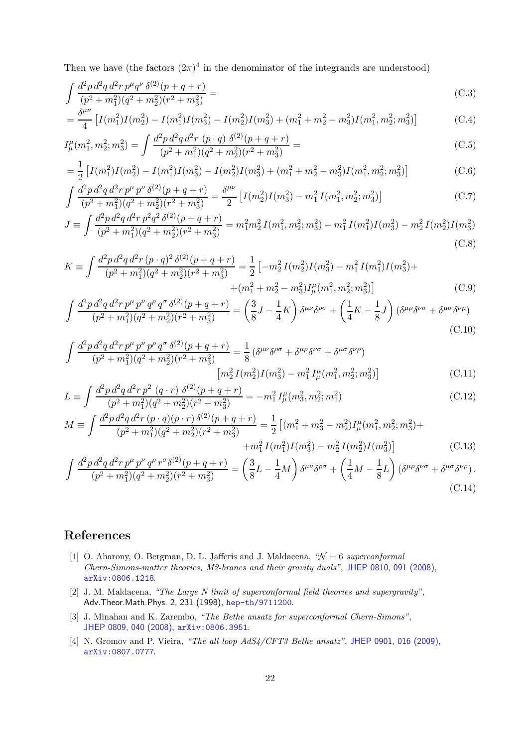Then we have (the factors  $(2\pi)^4$  in the denominator of the integrands are understood)

$$
\int \frac{d^2p \, d^2q \, d^2r \, p^\mu q^\nu \, \delta^{(2)}(p+q+r)}{(p^2+m_1^2)(q^2+m_2^2)(r^2+m_3^2)} = \tag{C.3}
$$

$$
= \frac{\delta^{\mu\nu}}{4} \left[ I(m_1^2)I(m_2^2) - I(m_1^2)I(m_3^2) - I(m_2^2)I(m_3^2) + (m_1^2 + m_2^2 - m_3^2)I(m_1^2, m_2^2; m_3^2) \right]
$$
(C.4)

$$
I^{\mu}_{\mu}(m_1^2, m_2^2; m_3^2) = \int \frac{d^2p \, d^2q \, d^2r \, (p \cdot q) \, \delta^{(2)}(p+q+r)}{(p^2 + m_1^2)(q^2 + m_2^2)(r^2 + m_3^2)} = \tag{C.5}
$$

$$
= \frac{1}{2} \left[ I(m_1^2)I(m_2^2) - I(m_1^2)I(m_3^2) - I(m_2^2)I(m_3^2) + (m_1^2 + m_2^2 - m_3^2)I(m_1^2, m_2^2; m_3^2) \right]
$$
(C.6)

$$
\int \frac{d^2p \, d^2q \, d^2r \, p^\mu \, p^\nu \, \delta^{(2)}(p+q+r)}{(p^2+m_1^2)(q^2+m_2^2)(r^2+m_3^2)} = \frac{\delta^{\mu\nu}}{2} \left[ I(m_2^2)I(m_3^2) - m_1^2 I(m_1^2, m_2^2; m_3^2) \right] \tag{C.7}
$$

$$
J \equiv \int \frac{d^2 p \, d^2 q \, d^2 r \, p^2 q^2 \, \delta^{(2)}(p+q+r)}{(p^2 + m_1^2)(q^2 + m_2^2)(r^2 + m_3^2)} = m_1^2 m_2^2 I(m_1^2, m_2^2; m_3^2) - m_1^2 I(m_1^2) I(m_3^2) - m_2^2 I(m_2^2) I(m_3^2)
$$
\n(C.8)

$$
K \equiv \int \frac{d^2 p \, d^2 q \, d^2 r \, (p \cdot q)^2 \, \delta^{(2)}(p+q+r)}{(p^2 + m_1^2)(q^2 + m_2^2)(r^2 + m_3^2)} = \frac{1}{2} \left[ -m_2^2 \, I(m_2^2) I(m_3^2) - m_1^2 \, I(m_1^2) I(m_3^2) + (m_1^2 + m_2^2 - m_3^2) I_\mu^\mu(m_1^2, m_2^2; m_3^2) \right]
$$
(C.9)

$$
\int \frac{d^2 p \, d^2 q \, d^2 r \, p^{\mu} \, p^{\nu} \, q^{\rho} \, q^{\sigma} \, \delta^{(2)}(p+q+r)}{(p^2 + m_1^2)(q^2 + m_2^2)(r^2 + m_3^2)} = \left(\frac{3}{8}J - \frac{1}{4}K\right) \delta^{\mu\nu} \delta^{\rho\sigma} + \left(\frac{1}{4}K - \frac{1}{8}J\right) \left(\delta^{\mu\rho}\delta^{\nu\sigma} + \delta^{\mu\sigma}\delta^{\nu\rho}\right)
$$
\n(C.10)

$$
\int \frac{d^2 p \, d^2 q \, d^2 r \, p^{\mu} \, p^{\nu} \, p^{\rho} \, q^{\sigma} \, \delta^{(2)}(p+q+r)}{(p^2 + m_1^2)(q^2 + m_2^2)(r^2 + m_3^2)} = \frac{1}{8} \left( \delta^{\mu\nu} \delta^{\rho\sigma} + \delta^{\mu\rho} \delta^{\nu\sigma} + \delta^{\mu\sigma} \delta^{\nu\rho} \right)
$$
\n
$$
\left[ m_2^2 \, I(m_2^2) I(m_3^2) - m_1^2 \, I^{\mu}_{\mu}(m_1^2, m_2^2; m_3^2) \right]
$$
\n(C.11)

$$
L \equiv \int \frac{d^2 p \, d^2 q \, d^2 r \, p^2 \, (q \cdot r) \, \delta^{(2)}(p+q+r)}{(p^2 + m_1^2)(q^2 + m_2^2)(r^2 + m_3^2)} = -m_1^2 \, I_\mu^\mu(m_3^2, m_2^2; m_1^2)
$$
\n(C.12)

$$
M \equiv \int \frac{d^2p \, d^2q \, d^2r \, (p \cdot q)(p \cdot r) \, \delta^{(2)}(p+q+r)}{(p^2+m_1^2)(q^2+m_2^2)(r^2+m_3^2)} = \frac{1}{2} \left[ (m_1^2+m_3^2-m_2^2)I^{\mu}_{\mu}(m_1^2,m_2^2;m_3^2) + m_1^2 I(m_1^2)I(m_3^2) - m_2^2 I(m_2^2)I(m_3^2) \right]
$$
(C.13)

$$
\int \frac{d^2 p \, d^2 q \, d^2 r \, p^{\mu} \, p^{\nu} \, q^{\rho} \, r^{\sigma} \delta^{(2)}(p+q+r)}{(p^2 + m_1^2)(q^2 + m_2^2)(r^2 + m_3^2)} = \left(\frac{3}{8}L - \frac{1}{4}M\right) \delta^{\mu\nu} \delta^{\rho\sigma} + \left(\frac{1}{4}M - \frac{1}{8}L\right) \left(\delta^{\mu\rho}\delta^{\nu\sigma} + \delta^{\mu\sigma}\delta^{\nu\rho}\right). \tag{C.14}
$$

# References

- <span id="page-22-0"></span>[1] O. Aharony, O. Bergman, D. L. Jafferis and J. Maldacena, *"*N = 6 *superconformal Chern-Simons-matter theories, M2-branes and their gravity duals"*, [JHEP 0810, 091 \(2008\)](http://dx.doi.org/10.1088/1126-6708/2008/10/091), [arXiv:0806.1218](http://arxiv.org/abs/0806.1218).
- <span id="page-22-1"></span>[2] J. M. Maldacena, *"The Large N limit of superconformal field theories and supergravity"*, Adv.Theor.Math.Phys. 2, 231 (1998), [hep-th/9711200](http://arxiv.org/abs/hep-th/9711200).
- <span id="page-22-2"></span>[3] J. Minahan and K. Zarembo, *"The Bethe ansatz for superconformal Chern-Simons"*, [JHEP 0809, 040 \(2008\)](http://dx.doi.org/10.1088/1126-6708/2008/09/040), [arXiv:0806.3951](http://arxiv.org/abs/0806.3951).
- <span id="page-22-3"></span>[4] N. Gromov and P. Vieira, *"The all loop AdS4/CFT3 Bethe ansatz"*, [JHEP 0901, 016 \(2009\)](http://dx.doi.org/10.1088/1126-6708/2009/01/016), [arXiv:0807.0777](http://arxiv.org/abs/0807.0777).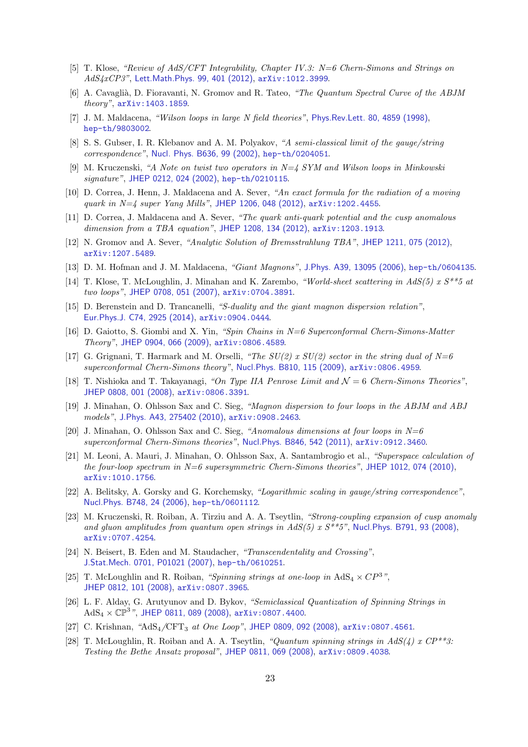- [5] T. Klose, *"Review of AdS/CFT Integrability, Chapter IV.3: N=6 Chern-Simons and Strings on AdS4xCP3"*, [Lett.Math.Phys. 99, 401 \(2012\)](http://dx.doi.org/10.1007/s11005-011-0520-y), [arXiv:1012.3999](http://arxiv.org/abs/1012.3999).
- <span id="page-23-0"></span>[6] A. Cavagli`a, D. Fioravanti, N. Gromov and R. Tateo, *"The Quantum Spectral Curve of the ABJM theory"*, [arXiv:1403.1859](http://arxiv.org/abs/1403.1859).
- <span id="page-23-1"></span>[7] J. M. Maldacena, *"Wilson loops in large N field theories"*, [Phys.Rev.Lett. 80, 4859 \(1998\)](http://dx.doi.org/10.1103/PhysRevLett.80.4859), [hep-th/9803002](http://arxiv.org/abs/hep-th/9803002).
- <span id="page-23-17"></span>[8] S. S. Gubser, I. R. Klebanov and A. M. Polyakov, *"A semi-classical limit of the gauge/string correspondence"*, [Nucl. Phys. B636, 99 \(2002\)](http://dx.doi.org/10.1016/S0550-3213(02)00373-5), [hep-th/0204051](http://arxiv.org/abs/hep-th/0204051).
- <span id="page-23-2"></span>[9] M. Kruczenski, *"A Note on twist two operators in N=4 SYM and Wilson loops in Minkowski signature"*, [JHEP 0212, 024 \(2002\)](http://dx.doi.org/10.1088/1126-6708/2002/12/024), [hep-th/0210115](http://arxiv.org/abs/hep-th/0210115).
- <span id="page-23-9"></span>[10] D. Correa, J. Henn, J. Maldacena and A. Sever, *"An exact formula for the radiation of a moving quark in N=4 super Yang Mills"*, [JHEP 1206, 048 \(2012\)](http://dx.doi.org/10.1007/JHEP06(2012)048), [arXiv:1202.4455](http://arxiv.org/abs/1202.4455).
- <span id="page-23-16"></span>[11] D. Correa, J. Maldacena and A. Sever, *"The quark anti-quark potential and the cusp anomalous dimension from a TBA equation"*, [JHEP 1208, 134 \(2012\)](http://dx.doi.org/10.1007/JHEP08(2012)134), [arXiv:1203.1913](http://arxiv.org/abs/1203.1913).
- <span id="page-23-10"></span>[12] N. Gromov and A. Sever, *"Analytic Solution of Bremsstrahlung TBA"*, [JHEP 1211, 075 \(2012\)](http://dx.doi.org/10.1007/JHEP11(2012)075), [arXiv:1207.5489](http://arxiv.org/abs/1207.5489).
- <span id="page-23-11"></span>[13] D. M. Hofman and J. M. Maldacena, *"Giant Magnons"*, [J.Phys. A39, 13095 \(2006\)](http://dx.doi.org/10.1088/0305-4470/39/41/S17), [hep-th/0604135](http://arxiv.org/abs/hep-th/0604135).
- [14] T. Klose, T. McLoughlin, J. Minahan and K. Zarembo, *"World-sheet scattering in AdS(5) x S\*\*5 at two loops"*, [JHEP 0708, 051 \(2007\)](http://dx.doi.org/10.1088/1126-6708/2007/08/051), [arXiv:0704.3891](http://arxiv.org/abs/0704.3891).
- <span id="page-23-12"></span>[15] D. Berenstein and D. Trancanelli, *"S-duality and the giant magnon dispersion relation"*, [Eur.Phys.J. C74, 2925 \(2014\)](http://dx.doi.org/10.1140/epjc/s10052-014-2925-0), [arXiv:0904.0444](http://arxiv.org/abs/0904.0444).
- <span id="page-23-3"></span>[16] D. Gaiotto, S. Giombi and X. Yin, *"Spin Chains in N=6 Superconformal Chern-Simons-Matter Theory"*, [JHEP 0904, 066 \(2009\)](http://dx.doi.org/10.1088/1126-6708/2009/04/066), [arXiv:0806.4589](http://arxiv.org/abs/0806.4589).
- [17] G. Grignani, T. Harmark and M. Orselli, *"The SU(2) x SU(2) sector in the string dual of N=6 superconformal Chern-Simons theory"*, [Nucl.Phys. B810, 115 \(2009\)](http://dx.doi.org/10.1016/j.nuclphysb.2008.10.019), [arXiv:0806.4959](http://arxiv.org/abs/0806.4959).
- <span id="page-23-4"></span>[18] T. Nishioka and T. Takayanagi, *"On Type IIA Penrose Limit and* N = 6 *Chern-Simons Theories"*, [JHEP 0808, 001 \(2008\)](http://dx.doi.org/10.1088/1126-6708/2008/08/001), [arXiv:0806.3391](http://arxiv.org/abs/0806.3391).
- <span id="page-23-5"></span>[19] J. Minahan, O. Ohlsson Sax and C. Sieg, *"Magnon dispersion to four loops in the ABJM and ABJ models"*, [J.Phys. A43, 275402 \(2010\)](http://dx.doi.org/10.1088/1751-8113/43/27/275402), [arXiv:0908.2463](http://arxiv.org/abs/0908.2463).
- [20] J. Minahan, O. Ohlsson Sax and C. Sieg, *"Anomalous dimensions at four loops in N=6 superconformal Chern-Simons theories"*, [Nucl.Phys. B846, 542 \(2011\)](http://dx.doi.org/10.1016/j.nuclphysb.2011.01.016), [arXiv:0912.3460](http://arxiv.org/abs/0912.3460).
- <span id="page-23-6"></span>[21] M. Leoni, A. Mauri, J. Minahan, O. Ohlsson Sax, A. Santambrogio et al., *"Superspace calculation of the four-loop spectrum in N=6 supersymmetric Chern-Simons theories"*, [JHEP 1012, 074 \(2010\)](http://dx.doi.org/10.1007/JHEP12(2010)074), [arXiv:1010.1756](http://arxiv.org/abs/1010.1756).
- <span id="page-23-13"></span>[22] A. Belitsky, A. Gorsky and G. Korchemsky, *"Logarithmic scaling in gauge/string correspondence"*, [Nucl.Phys. B748, 24 \(2006\)](http://dx.doi.org/10.1016/j.nuclphysb.2006.04.030), [hep-th/0601112](http://arxiv.org/abs/hep-th/0601112).
- <span id="page-23-14"></span>[23] M. Kruczenski, R. Roiban, A. Tirziu and A. A. Tseytlin, *"Strong-coupling expansion of cusp anomaly and gluon amplitudes from quantum open strings in AdS(5) x S\*\*5"*, [Nucl.Phys. B791, 93 \(2008\)](http://dx.doi.org/10.1016/j.nuclphysb.2007.09.005), [arXiv:0707.4254](http://arxiv.org/abs/0707.4254).
- <span id="page-23-7"></span>[24] N. Beisert, B. Eden and M. Staudacher, *"Transcendentality and Crossing"*, [J.Stat.Mech. 0701, P01021 \(2007\)](http://dx.doi.org/10.1088/1742-5468/2007/01/P01021), [hep-th/0610251](http://arxiv.org/abs/hep-th/0610251).
- <span id="page-23-8"></span>[25] T. McLoughlin and R. Roiban, *"Spinning strings at one-loop in*  $AdS_4 \times CP^{3}$ ", [JHEP 0812, 101 \(2008\)](http://dx.doi.org/10.1088/1126-6708/2008/12/101), [arXiv:0807.3965](http://arxiv.org/abs/0807.3965).
- <span id="page-23-15"></span>[26] L. F. Alday, G. Arutyunov and D. Bykov, *"Semiclassical Quantization of Spinning Strings in*  $AdS_4\times \mathbb{CP}^3$ ", [JHEP 0811, 089 \(2008\)](http://dx.doi.org/10.1088/1126-6708/2008/11/089),  $arXiv:$ 0807.4400.
- <span id="page-23-18"></span>[27] C. Krishnan, *"*AdS4*/*CFT<sup>3</sup> *at One Loop"*, [JHEP 0809, 092 \(2008\)](http://dx.doi.org/10.1088/1126-6708/2008/09/092), [arXiv:0807.4561](http://arxiv.org/abs/0807.4561).
- [28] T. McLoughlin, R. Roiban and A. A. Tseytlin, *"Quantum spinning strings in AdS(4) x CP\*\*3: Testing the Bethe Ansatz proposal"*, [JHEP 0811, 069 \(2008\)](http://dx.doi.org/10.1088/1126-6708/2008/11/069), [arXiv:0809.4038](http://arxiv.org/abs/0809.4038).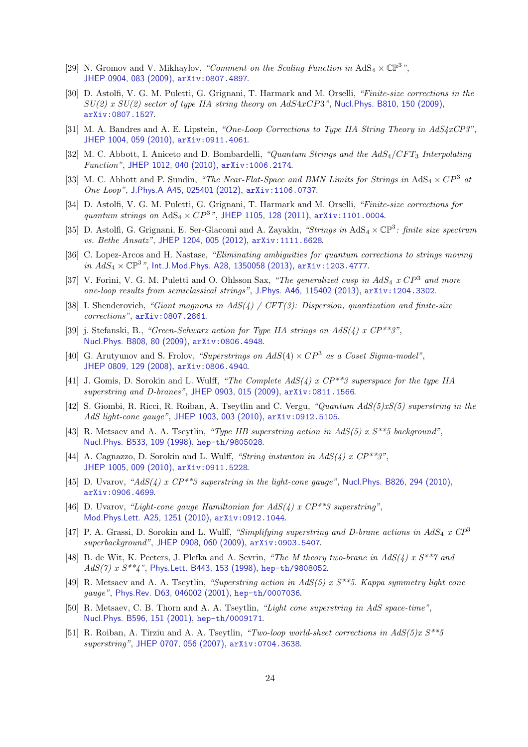- [29] N. Gromov and V. Mikhaylov, *"Comment on the Scaling Function in*  $AdS_4 \times \mathbb{CP}^3$ ", [JHEP 0904, 083 \(2009\)](http://dx.doi.org/10.1088/1126-6708/2009/04/083), [arXiv:0807.4897](http://arxiv.org/abs/0807.4897).
- [30] D. Astolfi, V. G. M. Puletti, G. Grignani, T. Harmark and M. Orselli, *"Finite-size corrections in the SU(2) x SU(2) sector of type IIA string theory on* AdS4xCP3*"*, [Nucl.Phys. B810, 150 \(2009\)](http://dx.doi.org/10.1016/j.nuclphysb.2008.10.020), [arXiv:0807.1527](http://arxiv.org/abs/0807.1527).
- [31] M. A. Bandres and A. E. Lipstein, *"One-Loop Corrections to Type IIA String Theory in AdS4xCP3"*, [JHEP 1004, 059 \(2010\)](http://dx.doi.org/10.1007/JHEP04(2010)059), [arXiv:0911.4061](http://arxiv.org/abs/0911.4061).
- <span id="page-24-15"></span>[32] M. C. Abbott, I. Aniceto and D. Bombardelli, *"Quantum Strings and the AdS<sub>4</sub>/CFT*<sub>3</sub> *Interpolating Function"*, [JHEP 1012, 040 \(2010\)](http://dx.doi.org/10.1007/JHEP12(2010)040), [arXiv:1006.2174](http://arxiv.org/abs/1006.2174).
- [33] M. C. Abbott and P. Sundin, *"The Near-Flat-Space and BMN Limits for Strings in* AdS<sup>4</sup> <sup>×</sup> CP<sup>3</sup> *at One Loop"*, [J.Phys.A A45, 025401 \(2012\)](http://dx.doi.org/10.1088/1751-8113/45/2/025401), [arXiv:1106.0737](http://arxiv.org/abs/1106.0737).
- [34] D. Astolfi, V. G. M. Puletti, G. Grignani, T. Harmark and M. Orselli, *"Finite-size corrections for quantum strings on*  $AdS_4 \times CP^{3}$ <sup>"</sup>, [JHEP 1105, 128 \(2011\)](http://dx.doi.org/10.1007/JHEP05(2011)128),  $arXiv:1101.0004$ .
- [35] D. Astolfi, G. Grignani, E. Ser-Giacomi and A. Zayakin, *"Strings in* AdS<sup>4</sup> <sup>×</sup> CP<sup>3</sup> *: finite size spectrum vs. Bethe Ansatz"*, [JHEP 1204, 005 \(2012\)](http://dx.doi.org/10.1007/JHEP04(2012)005), [arXiv:1111.6628](http://arxiv.org/abs/1111.6628).
- <span id="page-24-16"></span>[36] C. Lopez-Arcos and H. Nastase, *"Eliminating ambiguities for quantum corrections to strings moving in*  $AdS_4 \times \mathbb{CP}^3$ ", [Int.J.Mod.Phys. A28, 1350058 \(2013\)](http://dx.doi.org/10.1142/S0217751X13500589), [arXiv:1203.4777](http://arxiv.org/abs/1203.4777).
- <span id="page-24-0"></span>[37] V. Forini, V. G. M. Puletti and O. Ohlsson Sax, *"The generalized cusp in* AdS<sup>4</sup> *x* CP<sup>3</sup> *and more one-loop results from semiclassical strings"*, [J.Phys. A46, 115402 \(2013\)](http://dx.doi.org/10.1088/1751-8113/46/11/115402), [arXiv:1204.3302](http://arxiv.org/abs/1204.3302).
- <span id="page-24-1"></span>[38] I. Shenderovich, *"Giant magnons in AdS(4) / CFT(3): Dispersion, quantization and finite-size corrections"*, [arXiv:0807.2861](http://arxiv.org/abs/0807.2861).
- <span id="page-24-2"></span>[39] j. Stefanski, B., *"Green-Schwarz action for Type IIA strings on AdS(4) x CP\*\*3"*, [Nucl.Phys. B808, 80 \(2009\)](http://dx.doi.org/10.1016/j.nuclphysb.2008.09.015), [arXiv:0806.4948](http://arxiv.org/abs/0806.4948).
- <span id="page-24-3"></span>[40] G. Arutyunov and S. Frolov, *"Superstrings on* AdS(4) <sup>×</sup> CP<sup>3</sup> *as a Coset Sigma-model"*, [JHEP 0809, 129 \(2008\)](http://dx.doi.org/10.1088/1126-6708/2008/09/129), [arXiv:0806.4940](http://arxiv.org/abs/0806.4940).
- <span id="page-24-4"></span>[41] J. Gomis, D. Sorokin and L. Wulff, *"The Complete AdS(4) x CP\*\*3 superspace for the type IIA superstring and D-branes"*, [JHEP 0903, 015 \(2009\)](http://dx.doi.org/10.1088/1126-6708/2009/03/015), [arXiv:0811.1566](http://arxiv.org/abs/0811.1566).
- <span id="page-24-5"></span>[42] S. Giombi, R. Ricci, R. Roiban, A. Tseytlin and C. Vergu, *"Quantum AdS(5)xS(5) superstring in the AdS light-cone gauge"*, [JHEP 1003, 003 \(2010\)](http://dx.doi.org/10.1007/JHEP03(2010)003), [arXiv:0912.5105](http://arxiv.org/abs/0912.5105).
- <span id="page-24-6"></span>[43] R. Metsaev and A. A. Tseytlin, *"Type IIB superstring action in AdS(5) x S\*\*5 background"*, [Nucl.Phys. B533, 109 \(1998\)](http://dx.doi.org/10.1016/S0550-3213(98)00570-7), [hep-th/9805028](http://arxiv.org/abs/hep-th/9805028).
- <span id="page-24-13"></span>[44] A. Cagnazzo, D. Sorokin and L. Wulff, *"String instanton in AdS(4) x CP\*\*3"*, [JHEP 1005, 009 \(2010\)](http://dx.doi.org/10.1007/JHEP05(2010)009), [arXiv:0911.5228](http://arxiv.org/abs/0911.5228).
- <span id="page-24-7"></span>[45] D. Uvarov, "AdS(4) x CP<sup>\*\*</sup>3 superstring in the light-cone gauge", [Nucl.Phys. B826, 294 \(2010\)](http://dx.doi.org/10.1016/j.nuclphysb.2009.10.006), [arXiv:0906.4699](http://arxiv.org/abs/0906.4699).
- <span id="page-24-8"></span>[46] D. Uvarov, *"Light-cone gauge Hamiltonian for AdS(4) x CP\*\*3 superstring"*, [Mod.Phys.Lett. A25, 1251 \(2010\)](http://dx.doi.org/10.1142/S0217732310033153), [arXiv:0912.1044](http://arxiv.org/abs/0912.1044).
- <span id="page-24-14"></span>[47] P. A. Grassi, D. Sorokin and L. Wulff, *"Simplifying superstring and D-brane actions in*  $AdS_4$  *x*  $CP^3$ *superbackground"*, [JHEP 0908, 060 \(2009\)](http://dx.doi.org/10.1088/1126-6708/2009/08/060), [arXiv:0903.5407](http://arxiv.org/abs/0903.5407).
- <span id="page-24-9"></span>[48] B. de Wit, K. Peeters, J. Plefka and A. Sevrin, *"The M theory two-brane in AdS(4) x S\*\*7 and AdS(7) x S\*\*4"*, [Phys.Lett. B443, 153 \(1998\)](http://dx.doi.org/10.1016/S0370-2693(98)01340-9), [hep-th/9808052](http://arxiv.org/abs/hep-th/9808052).
- <span id="page-24-10"></span>[49] R. Metsaev and A. A. Tseytlin, *"Superstring action in AdS(5) x S\*\*5. Kappa symmetry light cone gauge"*, [Phys.Rev. D63, 046002 \(2001\)](http://dx.doi.org/10.1103/PhysRevD.63.046002), [hep-th/0007036](http://arxiv.org/abs/hep-th/0007036).
- <span id="page-24-11"></span>[50] R. Metsaev, C. B. Thorn and A. A. Tseytlin, *"Light cone superstring in AdS space-time"*, [Nucl.Phys. B596, 151 \(2001\)](http://dx.doi.org/10.1016/S0550-3213(00)00712-4), [hep-th/0009171](http://arxiv.org/abs/hep-th/0009171).
- <span id="page-24-12"></span>[51] R. Roiban, A. Tirziu and A. A. Tseytlin, *"Two-loop world-sheet corrections in AdS(5)x S\*\*5 superstring"*, [JHEP 0707, 056 \(2007\)](http://dx.doi.org/10.1088/1126-6708/2007/07/056), [arXiv:0704.3638](http://arxiv.org/abs/0704.3638).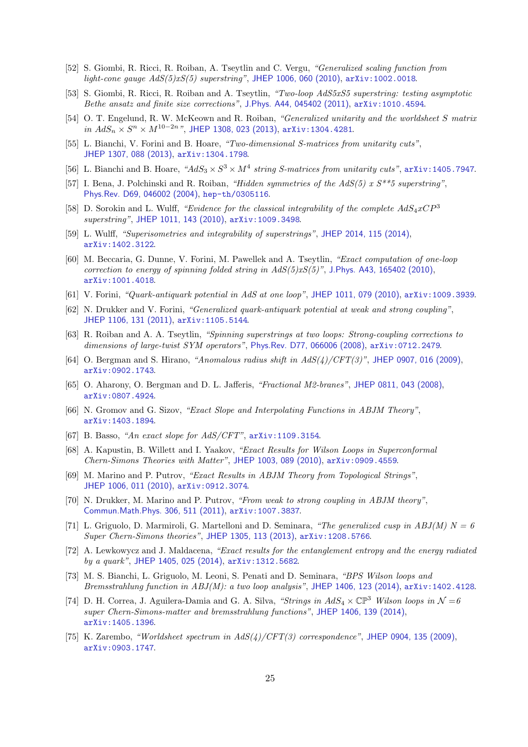- <span id="page-25-19"></span>[52] S. Giombi, R. Ricci, R. Roiban, A. Tseytlin and C. Vergu, *"Generalized scaling function from light-cone gauge AdS(5)xS(5) superstring"*, [JHEP 1006, 060 \(2010\)](http://dx.doi.org/10.1007/JHEP06(2010)060), [arXiv:1002.0018](http://arxiv.org/abs/1002.0018).
- <span id="page-25-0"></span>[53] S. Giombi, R. Ricci, R. Roiban and A. Tseytlin, *"Two-loop AdS5xS5 superstring: testing asymptotic Bethe ansatz and finite size corrections"*, [J.Phys. A44, 045402 \(2011\)](http://dx.doi.org/10.1088/1751-8113/44/4/045402), [arXiv:1010.4594](http://arxiv.org/abs/1010.4594).
- <span id="page-25-3"></span>[54] O. T. Engelund, R. W. McKeown and R. Roiban, *"Generalized unitarity and the worldsheet* S *matrix in*  $AdS_n$   $\times$   $S^n$   $\times$   $M^{10-2n}$ ", [JHEP 1308, 023 \(2013\)](http://dx.doi.org/10.1007/JHEP08(2013)023), [arXiv:1304.4281](http://arxiv.org/abs/1304.4281).
- [55] L. Bianchi, V. Forini and B. Hoare, *"Two-dimensional S-matrices from unitarity cuts"*, [JHEP 1307, 088 \(2013\)](http://dx.doi.org/10.1007/JHEP07(2013)088), [arXiv:1304.1798](http://arxiv.org/abs/1304.1798).
- <span id="page-25-4"></span><span id="page-25-1"></span>[56] L. Bianchi and B. Hoare,  $A dS_3 \times S^3 \times M^4$  string *S*-matrices from unitarity cuts", [arXiv:1405.7947](http://arxiv.org/abs/1405.7947).
- [57] I. Bena, J. Polchinski and R. Roiban, *"Hidden symmetries of the AdS(5) x S\*\*5 superstring"*, [Phys.Rev. D69, 046002 \(2004\)](http://dx.doi.org/10.1103/PhysRevD.69.046002), [hep-th/0305116](http://arxiv.org/abs/hep-th/0305116).
- <span id="page-25-2"></span>[58] D. Sorokin and L. Wulff, *"Evidence for the classical integrability of the complete*  $AdS_4xCP^3$ *superstring"*, [JHEP 1011, 143 \(2010\)](http://dx.doi.org/10.1007/JHEP11(2010)143), [arXiv:1009.3498](http://arxiv.org/abs/1009.3498).
- <span id="page-25-5"></span>[59] L. Wulff, *"Superisometries and integrability of superstrings"*, [JHEP 2014, 115 \(2014\)](http://dx.doi.org/10.1007/JHEP05(2014)115), [arXiv:1402.3122](http://arxiv.org/abs/1402.3122).
- <span id="page-25-8"></span>[60] M. Beccaria, G. Dunne, V. Forini, M. Pawellek and A. Tseytlin, *"Exact computation of one-loop correction to energy of spinning folded string in AdS(5)xS(5)"*, [J.Phys. A43, 165402 \(2010\)](http://dx.doi.org/10.1088/1751-8113/43/16/165402), [arXiv:1001.4018](http://arxiv.org/abs/1001.4018).
- <span id="page-25-9"></span>[61] V. Forini, *"Quark-antiquark potential in AdS at one loop"*, [JHEP 1011, 079 \(2010\)](http://dx.doi.org/10.1007/JHEP11(2010)079), [arXiv:1009.3939](http://arxiv.org/abs/1009.3939).
- [62] N. Drukker and V. Forini, *"Generalized quark-antiquark potential at weak and strong coupling"*, [JHEP 1106, 131 \(2011\)](http://dx.doi.org/10.1007/JHEP06(2011)131), [arXiv:1105.5144](http://arxiv.org/abs/1105.5144).
- <span id="page-25-10"></span>[63] R. Roiban and A. A. Tseytlin, *"Spinning superstrings at two loops: Strong-coupling corrections to dimensions of large-twist SYM operators"*, [Phys.Rev. D77, 066006 \(2008\)](http://dx.doi.org/10.1103/PhysRevD.77.066006), [arXiv:0712.2479](http://arxiv.org/abs/0712.2479).
- <span id="page-25-6"></span>[64] O. Bergman and S. Hirano, *"Anomalous radius shift in AdS(4)/CFT(3)"*, [JHEP 0907, 016 \(2009\)](http://dx.doi.org/10.1088/1126-6708/2009/07/016), [arXiv:0902.1743](http://arxiv.org/abs/0902.1743).
- <span id="page-25-7"></span>[65] O. Aharony, O. Bergman and D. L. Jafferis, *"Fractional M2-branes"*, [JHEP 0811, 043 \(2008\)](http://dx.doi.org/10.1088/1126-6708/2008/11/043), [arXiv:0807.4924](http://arxiv.org/abs/0807.4924).
- <span id="page-25-11"></span>[66] N. Gromov and G. Sizov, *"Exact Slope and Interpolating Functions in ABJM Theory"*, [arXiv:1403.1894](http://arxiv.org/abs/1403.1894).
- <span id="page-25-13"></span><span id="page-25-12"></span>[67] B. Basso, *"An exact slope for AdS/CFT"*, [arXiv:1109.3154](http://arxiv.org/abs/1109.3154).
- [68] A. Kapustin, B. Willett and I. Yaakov, *"Exact Results for Wilson Loops in Superconformal Chern-Simons Theories with Matter"*, [JHEP 1003, 089 \(2010\)](http://dx.doi.org/10.1007/JHEP03(2010)089), [arXiv:0909.4559](http://arxiv.org/abs/0909.4559).
- <span id="page-25-15"></span>[69] M. Marino and P. Putrov, *"Exact Results in ABJM Theory from Topological Strings"*, [JHEP 1006, 011 \(2010\)](http://dx.doi.org/10.1007/JHEP06(2010)011), [arXiv:0912.3074](http://arxiv.org/abs/0912.3074).
- <span id="page-25-14"></span>[70] N. Drukker, M. Marino and P. Putrov, *"From weak to strong coupling in ABJM theory"*, [Commun.Math.Phys. 306, 511 \(2011\)](http://dx.doi.org/10.1007/s00220-011-1253-6), [arXiv:1007.3837](http://arxiv.org/abs/1007.3837).
- <span id="page-25-16"></span>[71] L. Griguolo, D. Marmiroli, G. Martelloni and D. Seminara, *"The generalized cusp in ABJ(M) N = 6 Super Chern-Simons theories"*, [JHEP 1305, 113 \(2013\)](http://dx.doi.org/10.1007/JHEP05(2013)113), [arXiv:1208.5766](http://arxiv.org/abs/1208.5766).
- [72] A. Lewkowycz and J. Maldacena, *"Exact results for the entanglement entropy and the energy radiated by a quark"*, [JHEP 1405, 025 \(2014\)](http://dx.doi.org/10.1007/JHEP05(2014)025), [arXiv:1312.5682](http://arxiv.org/abs/1312.5682).
- [73] M. S. Bianchi, L. Griguolo, M. Leoni, S. Penati and D. Seminara, *"BPS Wilson loops and Bremsstrahlung function in ABJ(M): a two loop analysis"*, [JHEP 1406, 123 \(2014\)](http://dx.doi.org/10.1007/JHEP06(2014)123), [arXiv:1402.4128](http://arxiv.org/abs/1402.4128).
- <span id="page-25-17"></span>[74] D. H. Correa, J. Aguilera-Damia and G. A. Silva, *"Strings in*  $AdS_4 \times \mathbb{CP}^3$  Wilson loops in  $\mathcal{N}=6$ *super Chern-Simons-matter and bremsstrahlung functions"*, [JHEP 1406, 139 \(2014\)](http://dx.doi.org/10.1007/JHEP06(2014)139), [arXiv:1405.1396](http://arxiv.org/abs/1405.1396).
- <span id="page-25-18"></span>[75] K. Zarembo, *"Worldsheet spectrum in AdS(4)/CFT(3) correspondence"*, [JHEP 0904, 135 \(2009\)](http://dx.doi.org/10.1088/1126-6708/2009/04/135), [arXiv:0903.1747](http://arxiv.org/abs/0903.1747).